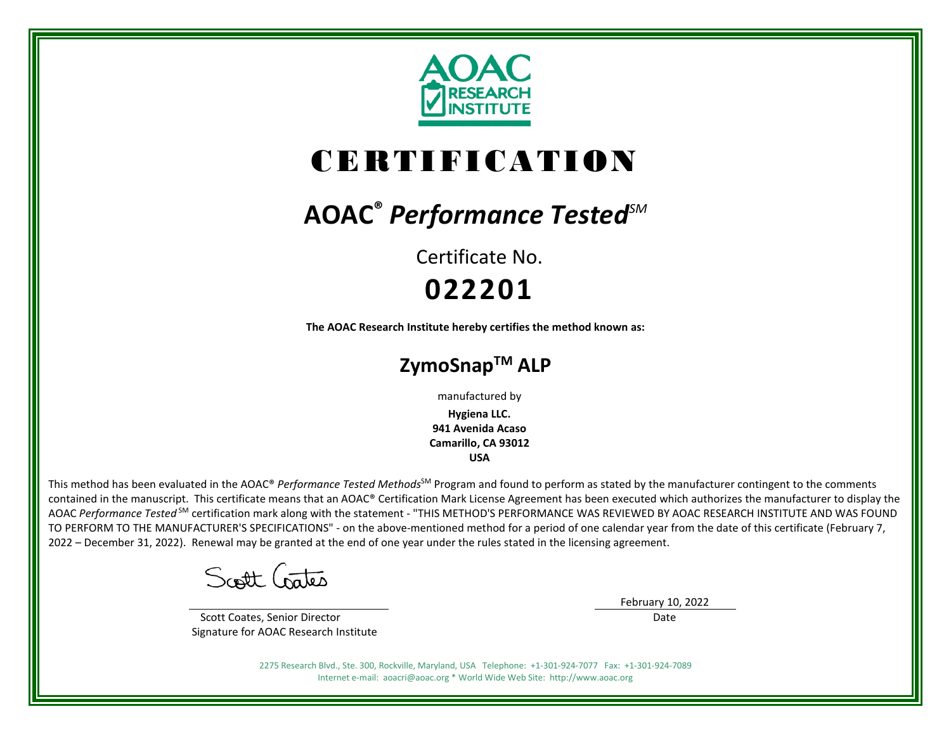

# CERTIFICATION

## **AOAC®** *Performance TestedSM*

Certificate No. **022201**

**The AOAC Research Institute hereby certifies the method known as:**

### **ZymoSnapTM ALP**

manufactured by

**Hygiena LLC. 941 Avenida Acaso Camarillo, CA 93012 USA**

This method has been evaluated in the AOAC® *Performance Tested Methods*<sup>SM</sup> Program and found to perform as stated by the manufacturer contingent to the comments contained in the manuscript. This certificate means that an AOAC® Certification Mark License Agreement has been executed which authorizes the manufacturer to display the AOAC *Performance Tested* SM certification mark along with the statement - "THIS METHOD'S PERFORMANCE WAS REVIEWED BY AOAC RESEARCH INSTITUTE AND WAS FOUND TO PERFORM TO THE MANUFACTURER'S SPECIFICATIONS" - on the above-mentioned method for a period of one calendar year from the date of this certificate (February 7, 2022 – December 31, 2022). Renewal may be granted at the end of one year under the rules stated in the licensing agreement.

Scott Crates

 Scott Coates, Senior Director Signature for AOAC Research Institute February 10, 2022

Date

2275 Research Blvd., Ste. 300, Rockville, Maryland, USA Telephone: +1-301-924-7077 Fax: +1-301-924-7089 Internet e-mail: aoacri@aoac.org \* World Wide Web Site: http://www.aoac.org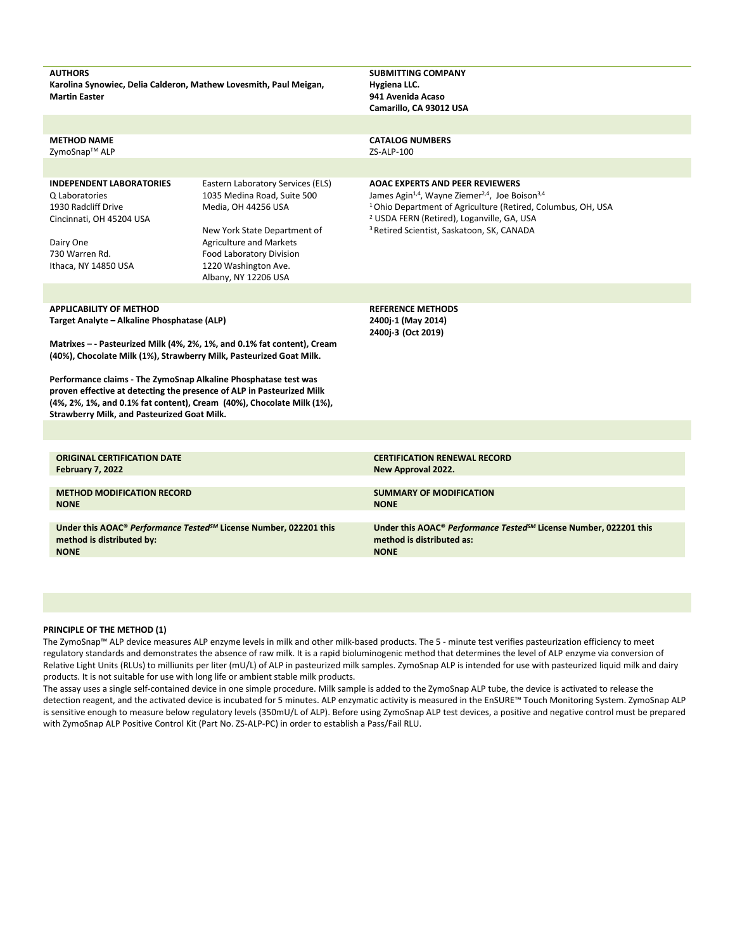| <b>AUTHORS</b><br>Karolina Synowiec, Delia Calderon, Mathew Lovesmith, Paul Meigan,<br><b>Martin Easter</b>                                                                                                                                                             |                                                                                                                                                                                                                                       | <b>SUBMITTING COMPANY</b><br>Hygiena LLC.<br>941 Avenida Acaso<br>Camarillo, CA 93012 USA                                                                                                                                                                                                                                  |  |  |  |  |  |
|-------------------------------------------------------------------------------------------------------------------------------------------------------------------------------------------------------------------------------------------------------------------------|---------------------------------------------------------------------------------------------------------------------------------------------------------------------------------------------------------------------------------------|----------------------------------------------------------------------------------------------------------------------------------------------------------------------------------------------------------------------------------------------------------------------------------------------------------------------------|--|--|--|--|--|
|                                                                                                                                                                                                                                                                         |                                                                                                                                                                                                                                       |                                                                                                                                                                                                                                                                                                                            |  |  |  |  |  |
| <b>METHOD NAME</b><br>ZymoSnap™ ALP                                                                                                                                                                                                                                     |                                                                                                                                                                                                                                       | <b>CATALOG NUMBERS</b><br>ZS-ALP-100                                                                                                                                                                                                                                                                                       |  |  |  |  |  |
|                                                                                                                                                                                                                                                                         |                                                                                                                                                                                                                                       |                                                                                                                                                                                                                                                                                                                            |  |  |  |  |  |
| <b>INDEPENDENT LABORATORIES</b><br>Q Laboratories<br>1930 Radcliff Drive<br>Cincinnati, OH 45204 USA<br>Dairy One<br>730 Warren Rd.<br>Ithaca, NY 14850 USA                                                                                                             | Eastern Laboratory Services (ELS)<br>1035 Medina Road, Suite 500<br>Media, OH 44256 USA<br>New York State Department of<br><b>Agriculture and Markets</b><br>Food Laboratory Division<br>1220 Washington Ave.<br>Albany, NY 12206 USA | <b>AOAC EXPERTS AND PEER REVIEWERS</b><br>James Agin <sup>1,4</sup> , Wayne Ziemer <sup>2,4</sup> , Joe Boison <sup>3,4</sup><br><sup>1</sup> Ohio Department of Agriculture (Retired, Columbus, OH, USA<br><sup>2</sup> USDA FERN (Retired), Loganville, GA, USA<br><sup>3</sup> Retired Scientist, Saskatoon, SK, CANADA |  |  |  |  |  |
|                                                                                                                                                                                                                                                                         |                                                                                                                                                                                                                                       |                                                                                                                                                                                                                                                                                                                            |  |  |  |  |  |
| <b>APPLICABILITY OF METHOD</b><br>Target Analyte - Alkaline Phosphatase (ALP)                                                                                                                                                                                           |                                                                                                                                                                                                                                       | <b>REFERENCE METHODS</b><br>2400j-1 (May 2014)<br>2400j-3 (Oct 2019)                                                                                                                                                                                                                                                       |  |  |  |  |  |
| Matrixes - - Pasteurized Milk (4%, 2%, 1%, and 0.1% fat content), Cream<br>(40%), Chocolate Milk (1%), Strawberry Milk, Pasteurized Goat Milk.                                                                                                                          |                                                                                                                                                                                                                                       |                                                                                                                                                                                                                                                                                                                            |  |  |  |  |  |
| Performance claims - The ZymoSnap Alkaline Phosphatase test was<br>proven effective at detecting the presence of ALP in Pasteurized Milk<br>(4%, 2%, 1%, and 0.1% fat content), Cream (40%), Chocolate Milk (1%),<br><b>Strawberry Milk, and Pasteurized Goat Milk.</b> |                                                                                                                                                                                                                                       |                                                                                                                                                                                                                                                                                                                            |  |  |  |  |  |
|                                                                                                                                                                                                                                                                         |                                                                                                                                                                                                                                       |                                                                                                                                                                                                                                                                                                                            |  |  |  |  |  |
| <b>ORIGINAL CERTIFICATION DATE</b><br><b>February 7, 2022</b>                                                                                                                                                                                                           |                                                                                                                                                                                                                                       | <b>CERTIFICATION RENEWAL RECORD</b><br>New Approval 2022.                                                                                                                                                                                                                                                                  |  |  |  |  |  |
| <b>METHOD MODIFICATION RECORD</b><br><b>NONE</b>                                                                                                                                                                                                                        |                                                                                                                                                                                                                                       | <b>SUMMARY OF MODIFICATION</b><br><b>NONE</b>                                                                                                                                                                                                                                                                              |  |  |  |  |  |
| Under this AOAC® Performance Tested <sup>5M</sup> License Number, 022201 this<br>method is distributed by:<br><b>NONE</b>                                                                                                                                               |                                                                                                                                                                                                                                       | Under this AOAC® Performance Tested <sup>SM</sup> License Number, 022201 this<br>method is distributed as:<br><b>NONE</b>                                                                                                                                                                                                  |  |  |  |  |  |

#### **PRINCIPLE OF THE METHOD (1)**

The ZymoSnap™ ALP device measures ALP enzyme levels in milk and other milk-based products. The 5 - minute test verifies pasteurization efficiency to meet regulatory standards and demonstrates the absence of raw milk. It is a rapid bioluminogenic method that determines the level of ALP enzyme via conversion of Relative Light Units (RLUs) to milliunits per liter (mU/L) of ALP in pasteurized milk samples. ZymoSnap ALP is intended for use with pasteurized liquid milk and dairy products. It is not suitable for use with long life or ambient stable milk products.

The assay uses a single self-contained device in one simple procedure. Milk sample is added to the ZymoSnap ALP tube, the device is activated to release the detection reagent, and the activated device is incubated for 5 minutes. ALP enzymatic activity is measured in the EnSURE™ Touch Monitoring System. ZymoSnap ALP is sensitive enough to measure below regulatory levels (350mU/L of ALP). Before using ZymoSnap ALP test devices, a positive and negative control must be prepared with ZymoSnap ALP Positive Control Kit (Part No. ZS-ALP-PC) in order to establish a Pass/Fail RLU.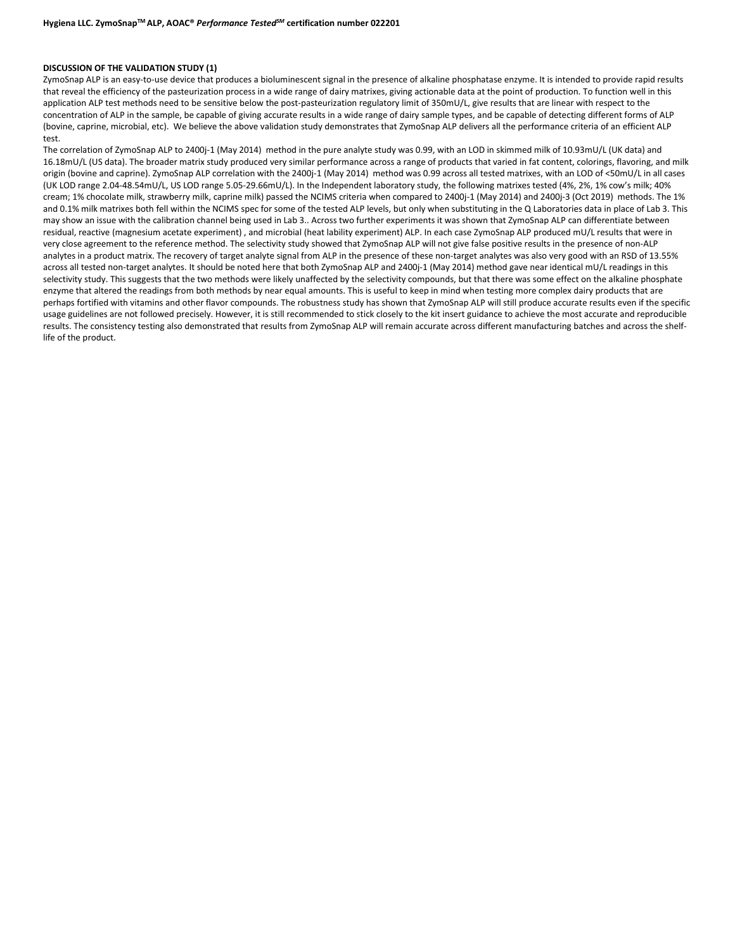#### **DISCUSSION OF THE VALIDATION STUDY (1)**

ZymoSnap ALP is an easy-to-use device that produces a bioluminescent signal in the presence of alkaline phosphatase enzyme. It is intended to provide rapid results that reveal the efficiency of the pasteurization process in a wide range of dairy matrixes, giving actionable data at the point of production. To function well in this application ALP test methods need to be sensitive below the post-pasteurization regulatory limit of 350mU/L, give results that are linear with respect to the concentration of ALP in the sample, be capable of giving accurate results in a wide range of dairy sample types, and be capable of detecting different forms of ALP (bovine, caprine, microbial, etc). We believe the above validation study demonstrates that ZymoSnap ALP delivers all the performance criteria of an efficient ALP test.

The correlation of ZymoSnap ALP to 2400j-1 (May 2014) method in the pure analyte study was 0.99, with an LOD in skimmed milk of 10.93mU/L (UK data) and 16.18mU/L (US data). The broader matrix study produced very similar performance across a range of products that varied in fat content, colorings, flavoring, and milk origin (bovine and caprine). ZymoSnap ALP correlation with the 2400j-1 (May 2014) method was 0.99 across all tested matrixes, with an LOD of <50mU/L in all cases (UK LOD range 2.04-48.54mU/L, US LOD range 5.05-29.66mU/L). In the Independent laboratory study, the following matrixes tested (4%, 2%, 1% cow's milk; 40% cream; 1% chocolate milk, strawberry milk, caprine milk) passed the NCIMS criteria when compared to 2400j-1 (May 2014) and 2400j-3 (Oct 2019) methods. The 1% and 0.1% milk matrixes both fell within the NCIMS spec for some of the tested ALP levels, but only when substituting in the Q Laboratories data in place of Lab 3. This may show an issue with the calibration channel being used in Lab 3.. Across two further experiments it was shown that ZymoSnap ALP can differentiate between residual, reactive (magnesium acetate experiment) , and microbial (heat lability experiment) ALP. In each case ZymoSnap ALP produced mU/L results that were in very close agreement to the reference method. The selectivity study showed that ZymoSnap ALP will not give false positive results in the presence of non-ALP analytes in a product matrix. The recovery of target analyte signal from ALP in the presence of these non-target analytes was also very good with an RSD of 13.55% across all tested non-target analytes. It should be noted here that both ZymoSnap ALP and 2400j-1 (May 2014) method gave near identical mU/L readings in this selectivity study. This suggests that the two methods were likely unaffected by the selectivity compounds, but that there was some effect on the alkaline phosphate enzyme that altered the readings from both methods by near equal amounts. This is useful to keep in mind when testing more complex dairy products that are perhaps fortified with vitamins and other flavor compounds. The robustness study has shown that ZymoSnap ALP will still produce accurate results even if the specific usage guidelines are not followed precisely. However, it is still recommended to stick closely to the kit insert guidance to achieve the most accurate and reproducible results. The consistency testing also demonstrated that results from ZymoSnap ALP will remain accurate across different manufacturing batches and across the shelflife of the product.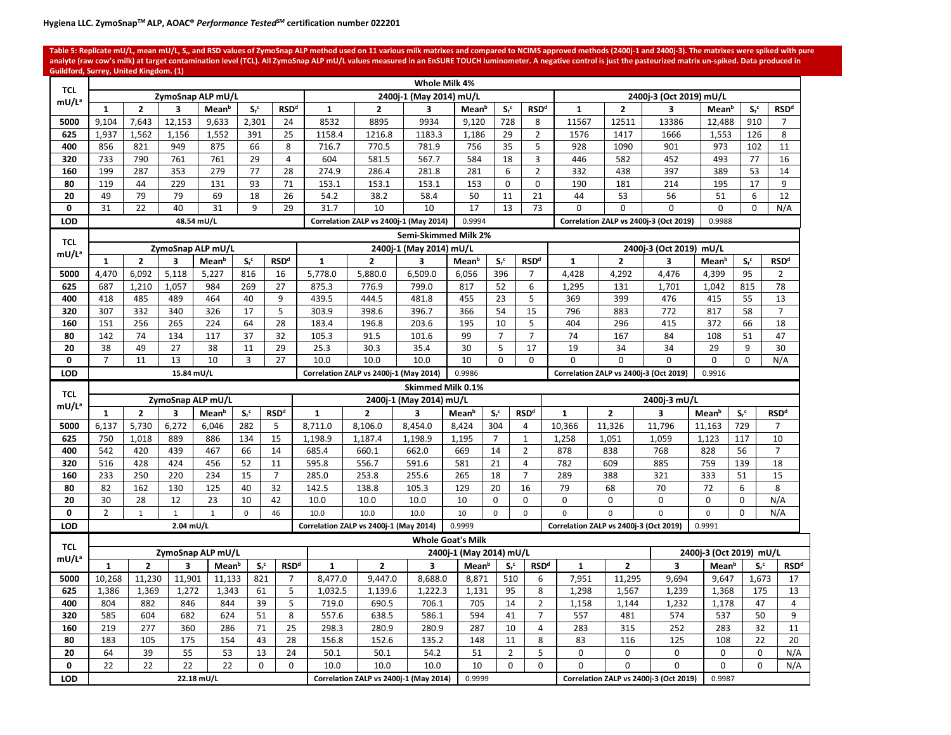Table 5: Replicate mU/L, mean mU/L, S<sub>n</sub> and RSD values of ZymoSnap ALP method used on 11 various milk matrixes and compared to NCIMS approved methods (2400j-1 and 2400j-3). The matrixes were spiked with pure analyte (raw cow's milk) at target contamination level (TCL). All ZymoSnap ALP mU/L values measured in an EnSURE TOUCH luminometer. A negative control is just the pasteurized matrix un-spiked. Data produced in **Guildford, Surrey, United Kingdom. (1)**

| <b>TCL</b>          | Whole Milk 4%<br>ZymoSnap ALP mU/L<br>2400j-3 (Oct 2019) mU/L<br>2400j-1 (May 2014) mU/L |                |              |                   |                    |                        |              |                                        |                         |                          |                            |                           |                                                        |                                        |                                        |                         |                    |                                   |
|---------------------|------------------------------------------------------------------------------------------|----------------|--------------|-------------------|--------------------|------------------------|--------------|----------------------------------------|-------------------------|--------------------------|----------------------------|---------------------------|--------------------------------------------------------|----------------------------------------|----------------------------------------|-------------------------|--------------------|-----------------------------------|
| mU/Lª               |                                                                                          |                |              |                   |                    |                        |              |                                        |                         |                          |                            |                           |                                                        |                                        |                                        |                         |                    |                                   |
|                     | $\mathbf{1}$                                                                             | $\overline{2}$ | 3            | Mean <sup>b</sup> | $S_r$ <sup>c</sup> | <b>RSDd</b>            | 1            | $\mathbf{2}$                           | 3                       | Mean <sup>b</sup>        | $S_r^c$                    | $\mathsf{RSD}^\mathsf{d}$ | $\mathbf{1}$                                           | $\overline{2}$                         | 3                                      | Mean <sup>b</sup>       | $S_r^c$            | <b>RSD<sup>d</sup></b>            |
| 5000                | 9,104                                                                                    | 7,643          | 12,153       | 9,633             | 2,301              | 24                     | 8532         | 8895                                   | 9934                    | 9,120                    | 728                        | 8                         | 11567                                                  | 12511                                  | 13386                                  | 12,488                  | 910                | $\overline{7}$                    |
| 625                 | 1,937                                                                                    | 1,562          | 1,156        | 1,552             | 391                | 25                     | 1158.4       | 1216.8                                 | 1183.3                  | 1,186                    | 29                         | $\overline{2}$            | 1576                                                   | 1417                                   | 1666                                   | 1,553                   | 126                | 8                                 |
| 400                 | 856                                                                                      | 821            | 949          | 875               | 66                 | 8                      | 716.7        | 770.5                                  | 781.9                   | 756                      | 35                         | 5                         | 928                                                    | 1090                                   | 901                                    | 973                     | 102                | 11                                |
| 320                 | 733                                                                                      | 790            | 761          | 761               | 29                 | $\overline{4}$         | 604          | 581.5                                  | 567.7                   | 584                      | 18                         | 3                         | 446                                                    | 582                                    | 452                                    | 493                     | 77                 | 16                                |
| 160                 | 199                                                                                      | 287            | 353          | 279               | 77                 | 28                     | 274.9        | 286.4                                  | 281.8                   | 281                      | 6                          | $\overline{2}$            | 332                                                    | 438                                    | 397                                    | 389                     | 53                 | 14                                |
| 80                  | 119                                                                                      | 44             | 229          | 131               | 93                 | 71                     | 153.1        | 153.1                                  | 153.1                   | 153                      | 0                          | $\mathbf 0$               | 190                                                    | 181                                    | 214                                    | 195                     | 17                 | 9                                 |
| 20                  | 49                                                                                       | 79             | 79           | 69                | 18                 | 26                     | 54.2         | 38.2                                   | 58.4                    | 50                       | 11                         | 21                        | 44                                                     | 53                                     | 56                                     | 51                      | 6                  | 12                                |
| 0                   | 31                                                                                       | 22             | 40           | 31                | 9                  | 29                     | 31.7         | 10                                     | 10                      | 17                       | 13                         | 73                        | $\Omega$                                               | $\Omega$                               | $\Omega$                               | $\Omega$                | $\Omega$           | N/A                               |
| <b>LOD</b>          |                                                                                          |                |              | 48.54 mU/L        |                    |                        |              | Correlation ZALP vs 2400j-1 (May 2014) |                         | 0.9994                   |                            |                           |                                                        |                                        | Correlation ZALP vs 2400j-3 (Oct 2019) | 0.9988                  |                    |                                   |
| <b>TCL</b>          |                                                                                          |                |              |                   |                    |                        |              |                                        | Semi-Skimmed Milk 2%    |                          |                            |                           |                                                        |                                        |                                        |                         |                    |                                   |
| mU/Lª               |                                                                                          |                |              | ZymoSnap ALP mU/L |                    |                        |              |                                        | 2400j-1 (May 2014) mU/L |                          |                            |                           |                                                        |                                        | 2400j-3 (Oct 2019) mU/L                |                         |                    |                                   |
|                     | $\mathbf{1}$                                                                             | $\overline{2}$ | 3            | Mean <sup>b</sup> | $S_r^c$            | <b>RSD<sup>d</sup></b> | $\mathbf{1}$ | $\overline{2}$                         | 3                       | Mean <sup>b</sup>        | $S_r$ <sup>c</sup>         | <b>RSD<sup>d</sup></b>    | $\mathbf{1}$                                           | $\overline{2}$                         | 3                                      | Mean <sup>b</sup>       | $S_r^c$            | <b>RSD<sup>d</sup></b>            |
| 5000                | 4.470                                                                                    | 6.092          | 5,118        | 5,227             | 816                | 16                     | 5,778.0      | 5.880.0                                | 6,509.0                 | 6,056                    | 396                        | $\overline{7}$            | 4.428                                                  | 4.292                                  | 4.476                                  | 4,399                   | 95                 | $\overline{2}$                    |
| 625                 | 687                                                                                      | 1.210          | 1.057        | 984               | 269                | 27                     | 875.3        | 776.9                                  | 799.0                   | 817                      | 52                         | 6                         | 1.295                                                  | 131                                    | 1.701                                  | 1.042                   | 815                | 78                                |
| 400                 | 418                                                                                      | 485            | 489          | 464               | 40                 | 9                      | 439.5        | 444.5                                  | 481.8                   | 455                      | 23                         | $\mathsf S$               | 369                                                    | 399                                    | 476                                    | 415                     | 55                 | 13                                |
| 320                 | 307                                                                                      | 332            | 340          | 326               | 17                 | 5                      | 303.9        | 398.6                                  | 396.7                   | 366                      | 54                         | 15                        | 796                                                    | 883                                    | 772                                    | 817                     | 58                 | $\overline{7}$                    |
| 160                 | 151                                                                                      | 256            | 265          | 224               | 64                 | 28                     | 183.4        | 196.8                                  | 203.6                   | 195                      | 10                         | 5                         | 404                                                    | 296                                    | 415                                    | 372                     | 66                 | 18                                |
| 80                  | 142                                                                                      | 74             | 134          | 117               | 37                 | 32                     | 105.3        | 91.5                                   | 101.6                   | 99                       | $\overline{7}$             | $\overline{7}$            | 74                                                     | 167                                    | 84                                     | 108<br>29               | 51                 | 47                                |
| 20                  | 38                                                                                       | 49             | 27           | 38                | 11                 | 29                     | 25.3         | 30.3                                   | 35.4                    | 30                       | 5                          | 17                        | 19<br>34<br>34<br>$\Omega$<br>$\Omega$<br>$\mathbf{0}$ |                                        |                                        |                         | 9                  | 30                                |
| $\mathbf 0$         | $\overline{7}$                                                                           | 11             | 13           | 10                | $\overline{3}$     | 27                     | 10.0         | 10.0                                   | 10.0                    | 10                       | $\Omega$                   | $\Omega$                  |                                                        |                                        |                                        | $\Omega$                | $\Omega$           | N/A                               |
| <b>LOD</b>          |                                                                                          |                | 15.84 mU/L   |                   |                    |                        |              | Correlation ZALP vs 2400j-1 (May 2014) |                         | 0.9986                   |                            |                           |                                                        |                                        | Correlation ZALP vs 2400j-3 (Oct 2019) | 0.9916                  |                    |                                   |
|                     |                                                                                          |                |              |                   |                    |                        |              |                                        |                         |                          |                            |                           |                                                        |                                        |                                        |                         |                    |                                   |
|                     |                                                                                          |                |              |                   |                    |                        |              |                                        | Skimmed Milk 0.1%       |                          |                            |                           |                                                        |                                        |                                        |                         |                    |                                   |
| <b>TCL</b><br>mU/Lª |                                                                                          |                |              | ZymoSnap ALP mU/L |                    |                        |              |                                        | 2400j-1 (May 2014) mU/L |                          |                            |                           |                                                        |                                        | 2400j-3 mU/L                           |                         |                    |                                   |
|                     | $\mathbf{1}$                                                                             | $\overline{2}$ | 3            | Mean <sup>b</sup> | $S_r$ <sup>c</sup> | <b>RSDd</b>            | $\mathbf{1}$ | $\overline{2}$                         | 3                       | Mean <sup>b</sup>        | $S_r$ <sup>c</sup>         | <b>RSDd</b>               | $\mathbf{1}$                                           | $\overline{2}$                         | 3                                      | Mean <sup>b</sup>       | $S_r$ <sup>c</sup> | <b>RSDd</b>                       |
| 5000                | 6,137                                                                                    | 5,730          | 6,272        | 6,046             | 282                | 5                      | 8,711.0      | 8,106.0                                | 8,454.0                 | 8,424                    | 304                        | $\overline{4}$            | 10,366                                                 | 11,326                                 | 11,796                                 | 11,163                  | 729                | $\overline{7}$                    |
| 625                 | 750                                                                                      | 1,018          | 889          | 886               | 134                | 15                     | 1,198.9      | 1,187.4                                | 1,198.9                 | 1,195                    | $\overline{7}$             | $\mathbf 1$               | 1,258                                                  | 1,051                                  | 1,059                                  | 1,123                   | 117                | 10                                |
| 400                 | 542                                                                                      | 420            | 439          | 467               | 66                 | 14                     | 685.4        | 660.1                                  | 662.0                   | 669                      | 14                         | $\overline{2}$            | 878                                                    | 838                                    | 768                                    | 828                     | 56                 | $\overline{7}$                    |
| 320                 | 516                                                                                      | 428            | 424          | 456               | 52                 | 11                     | 595.8        | 556.7                                  | 591.6                   | 581                      | 21                         | $\overline{4}$            | 782                                                    | 609                                    | 885                                    | 759                     | 139                | 18                                |
| 160                 | 233                                                                                      | 250            | 220          | 234               | 15                 | $\overline{7}$         | 285.0        | 253.8                                  | 255.6                   | 265                      | 18                         | $\overline{7}$            | 289                                                    | 388                                    | 321                                    | 333                     | 51                 | 15                                |
| 80                  | 82                                                                                       | 162            | 130          | 125               | 40                 | 32                     | 142.5        | 138.8                                  | 105.3                   | 129                      | 20                         | 16                        | 79                                                     | 68                                     | 70                                     | 72                      | 6                  | 8                                 |
| 20                  | 30                                                                                       | 28             | 12           | 23                | 10                 | 42                     | 10.0         | 10.0                                   | 10.0                    | 10                       | 0                          | 0                         | 0                                                      | $\mathbf 0$                            | $\mathbf 0$                            | $\mathbf 0$             | 0                  | N/A                               |
| 0                   | $\overline{2}$                                                                           | $\mathbf 1$    | $\mathbf{1}$ | $\mathbf{1}$      | $\mathbf 0$        | 46                     | 10.0         | 10.0                                   | 10.0                    | 10                       | $\mathbf 0$                | $\mathbf 0$               | $\overline{0}$                                         | $\Omega$                               | $\Omega$                               | $\mathbf 0$             | $\Omega$           | N/A                               |
| <b>LOD</b>          |                                                                                          |                | 2.04 mU/L    |                   |                    |                        |              | Correlation ZALP vs 2400j-1 (May 2014) |                         | 0.9999                   |                            |                           |                                                        | Correlation ZALP vs 2400j-3 (Oct 2019) |                                        | 0.9991                  |                    |                                   |
| <b>TCL</b>          |                                                                                          |                |              |                   |                    |                        |              |                                        |                         | <b>Whole Goat's Milk</b> |                            |                           |                                                        |                                        |                                        |                         |                    |                                   |
| mU/L <sup>a</sup>   |                                                                                          |                |              | ZymoSnap ALP mU/L |                    |                        |              |                                        |                         | 2400j-1 (May 2014) mU/L  |                            |                           |                                                        |                                        |                                        | 2400j-3 (Oct 2019) mU/L |                    |                                   |
|                     | 1                                                                                        | $\overline{2}$ | 3            | Mean <sup>b</sup> | $S_r^c$            | <b>RSD<sup>d</sup></b> | $\mathbf{1}$ | $\mathbf{2}$                           | 3                       | Mean <sup>b</sup>        | $S_r^c$                    | <b>RSDd</b>               | $\mathbf{1}$                                           | $\overline{2}$                         | 3                                      | Mean <sup>b</sup>       |                    | <b>RSDd</b><br>$S_r$ <sup>c</sup> |
| 5000                | 10,268                                                                                   | 11,230         | 11,901       | 11,133            | 821                | $\overline{7}$         | 8,477.0      | 9,447.0                                | 8,688.0                 | 8,871                    | 510                        | 6                         | 7,951                                                  | 11,295                                 | 9,694                                  | 9,647                   |                    | 1,673<br>17                       |
| 625                 | 1,386                                                                                    | 1,369          | 1,272        | 1,343             | 61                 | 5                      | 1,032.5      | 1,139.6                                | 1,222.3                 | 1,131                    | 95                         | 8                         | 1,298                                                  | 1,567                                  | 1,239                                  | 1,368                   |                    | 13<br>175                         |
| 400                 | 804                                                                                      | 882            | 846          | 844               | 39                 | 5                      | 719.0        | 690.5                                  | 706.1                   | 705                      | 14                         | $\overline{2}$            | 1,158                                                  | 1,144                                  | 1,232                                  | 1,178                   |                    | $\overline{a}$<br>47              |
| 320                 | 585                                                                                      | 604            | 682          | 624               | 51                 | 8                      | 557.6        | 638.5                                  | 586.1                   | 594                      | 41                         | $\overline{7}$            | 557                                                    | 481                                    | 574                                    | 537                     |                    | 50<br>9                           |
| 160                 | 219                                                                                      | 277            | 360          | 286               | 71                 | 25                     | 298.3        | 280.9                                  | 280.9                   | 287                      | 10                         | $\overline{4}$            | 283                                                    | 315                                    | 252                                    | 283                     |                    | 32<br>11                          |
| 80                  | 183                                                                                      | 105            | 175          | 154               | 43                 | 28                     | 156.8        | 152.6                                  | 135.2                   | 148                      | 11                         | 8                         | 83                                                     | 116<br>$\mathbf 0$                     | 125                                    | 108<br>$\mathbf 0$      |                    | 22<br>20<br>$\mathbf 0$           |
| 20<br>0             | 64<br>22                                                                                 | 39<br>22       | 55<br>22     | 53<br>22          | 13<br>$\Omega$     | 24<br>$\Omega$         | 50.1<br>10.0 | 50.1<br>10.0                           | 54.2<br>10.0            | 51<br>10                 | $\overline{2}$<br>$\Omega$ | 5<br>0                    | 0<br>$\Omega$                                          | $\Omega$                               | 0<br>$\Omega$                          | $\Omega$                |                    | N/A<br>$\mathbf{0}$<br>N/A        |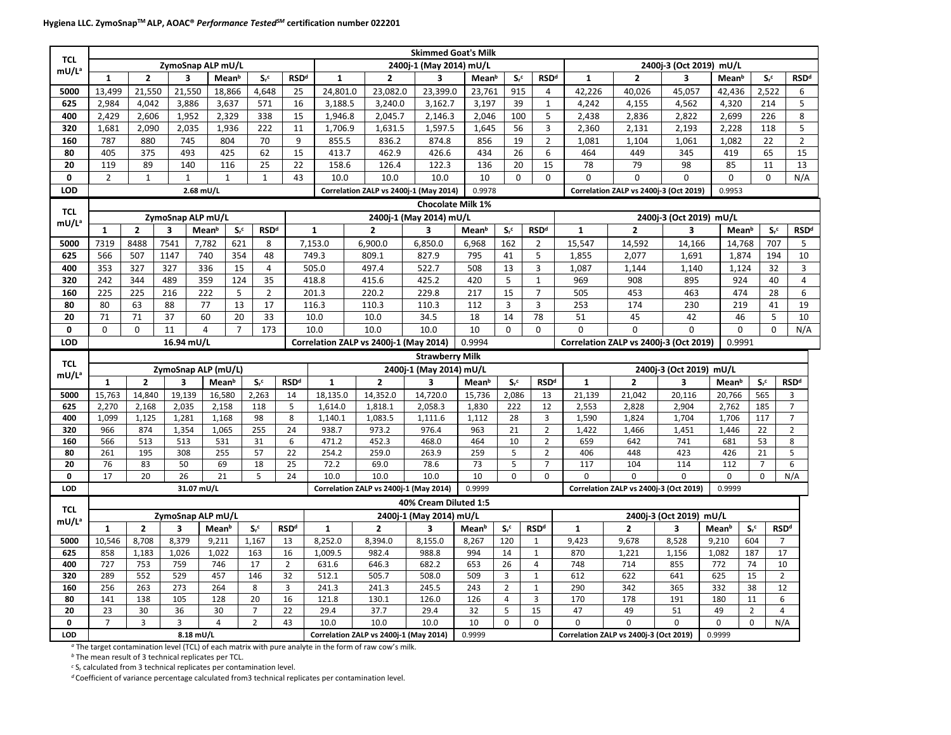| <b>TCL</b>        |                |                |                         |                         |                    |                    |                        |               |                                        | <b>Skimmed Goat's Milk</b> |                   |                    |                        |                                  |                                                  |                                        |                         |                   |                    |                        |                |  |  |
|-------------------|----------------|----------------|-------------------------|-------------------------|--------------------|--------------------|------------------------|---------------|----------------------------------------|----------------------------|-------------------|--------------------|------------------------|----------------------------------|--------------------------------------------------|----------------------------------------|-------------------------|-------------------|--------------------|------------------------|----------------|--|--|
| mU/L <sup>a</sup> |                |                |                         | ZymoSnap ALP mU/L       |                    |                    |                        |               |                                        | 2400j-1 (May 2014) mU/L    |                   |                    |                        |                                  |                                                  |                                        | 2400j-3 (Oct 2019) mU/L |                   |                    |                        |                |  |  |
|                   | $\mathbf{1}$   | $\overline{2}$ |                         | $\overline{\mathbf{3}}$ | Mean <sup>b</sup>  | $S_r$ <sup>c</sup> | <b>RSDd</b>            | $\mathbf{1}$  | $\overline{2}$                         | 3                          | Mean <sup>b</sup> |                    | $S_r$ <sup>c</sup>     | <b>RSDd</b>                      | $\mathbf{1}$                                     | $\overline{2}$                         | 3                       | Mean <sup>b</sup> |                    | $S_r$ <sup>c</sup>     | <b>RSDd</b>    |  |  |
| 5000              | 13,499         | 21,550         |                         | 21,550                  | 18,866             | 4,648              | 25                     | 24,801.0      | 23,082.0                               | 23,399.0                   | 23,761            |                    | 915                    | 4                                | 42,226                                           | 40,026                                 | 45,057                  | 42,436            |                    | 2,522                  | 6              |  |  |
| 625               | 2,984          | 4,042          |                         | 3,886                   | 3,637              | 571                | 16                     | 3,188.5       | 3,240.0                                | 3,162.7                    | 3,197             |                    | 39                     | $\mathbf{1}$                     | 4,242                                            | 4,155                                  | 4,562                   | 4,320             |                    | 214                    | 5              |  |  |
| 400               | 2,429          | 2,606          |                         | 1,952                   | 2,329              | 338                | 15                     | 1,946.8       | 2,045.7                                | 2,146.3                    | 2,046             |                    | 100                    | 5                                | 2,438                                            | 2,836                                  | 2,822                   | 2,699             |                    | 226                    | 8              |  |  |
| 320               | 1,681          | 2,090          |                         | 2,035                   | 1,936              | 222                | 11                     | 1,706.9       | 1,631.5                                | 1,597.5                    | 1,645             |                    | 56                     | $\overline{3}$                   | 2,360                                            | 2,131                                  | 2,193                   | 2,228             |                    | 118                    | 5              |  |  |
| 160               | 787            | 880            |                         | 745                     | 804                | 70                 | 9                      | 855.5         | 836.2                                  | 874.8                      | 856               |                    | 19                     | $\overline{2}$                   | 1,081                                            | 1,104                                  | 1,061                   | 1,082             |                    | 22                     | $\overline{2}$ |  |  |
| 80                | 405            | 375            |                         | 493                     | 425                | 62                 | 15                     | 413.7         | 462.9                                  | 426.6                      | 434               |                    | 26                     | 6                                | 464                                              | 449                                    | 345                     | 419               |                    | 65                     | 15             |  |  |
| 20                | 119            | 89             |                         | 140                     | 116                | 25                 | 22                     | 158.6         | 126.4                                  | 122.3                      | 136               |                    | 15<br>20               |                                  | 78                                               | 79                                     | 98                      | 85                |                    | 11                     | 13             |  |  |
| $\mathbf 0$       | $\overline{2}$ | $\mathbf{1}$   |                         | $\mathbf{1}$            | $\mathbf{1}$       | $\mathbf{1}$       | 43                     | 10.0          | 10.0                                   | 10.0                       | 10                |                    | $\Omega$               | $\mathbf 0$                      | $\mathbf 0$                                      | $\mathbf 0$                            | $\mathbf{0}$            | 0                 |                    | 0                      | N/A            |  |  |
| LOD               |                |                |                         | 2.68 mU/L               |                    |                    |                        |               | Correlation ZALP vs 2400j-1 (May 2014) |                            | 0.9978            |                    |                        |                                  |                                                  | Correlation ZALP vs 2400j-3 (Oct 2019) |                         | 0.9953            |                    |                        |                |  |  |
| <b>TCL</b>        |                |                |                         |                         |                    |                    |                        |               |                                        | Chocolate Milk 1%          |                   |                    |                        |                                  |                                                  |                                        |                         |                   |                    |                        |                |  |  |
| mU/Lª             |                |                |                         | ZymoSnap ALP mU/L       |                    |                    |                        |               |                                        | 2400j-1 (May 2014) mU/L    |                   |                    |                        |                                  |                                                  |                                        | 2400j-3 (Oct 2019) mU/L |                   |                    |                        |                |  |  |
|                   | $\mathbf{1}$   | $\overline{2}$ | 3                       | Mean <sup>b</sup>       | $S_r$ <sup>c</sup> | <b>RSDd</b>        |                        | $\mathbf{1}$  | $\overline{2}$                         | 3                          | Mean <sup>b</sup> | $S_r$ <sup>c</sup> | <b>RSDd</b>            |                                  | $\mathbf{1}$                                     | $\overline{2}$                         | 3                       |                   | Mean <sup>b</sup>  | $S_r$ <sup>c</sup>     | <b>RSDd</b>    |  |  |
| 5000              | 7319           | 8488           | 7541                    | 7,782                   | 621                | 8                  |                        | 7,153.0       | 6,900.0                                | 6,850.0                    | 6,968             | 162                | $\overline{2}$         |                                  | 15,547                                           | 14,592                                 | 14,166                  |                   | 14,768             | 707                    | 5              |  |  |
| 625               | 566            | 507            | 1147                    | 740                     | 354                | 48                 |                        | 749.3         | 809.1                                  | 827.9                      | 795               | 41                 | $\mathsf S$            |                                  | 1,855                                            | 2,077                                  | 1,691                   |                   | 1,874              | 194                    | 10             |  |  |
| 400               | 353            | 327            | 327                     | 336                     | 15                 | $\overline{4}$     |                        | 505.0         | 497.4                                  | 522.7                      | 508               | 13                 | $\overline{3}$         |                                  | 1,087                                            | 1,144                                  | 1,140                   |                   | 1,124              | 32                     | $\overline{3}$ |  |  |
| 320               | 242            | 344            | 489                     | 359                     | 124                | 35                 |                        | 418.8         | 415.6                                  | 425.2                      | 420               | 5                  | $\mathbf 1$            |                                  | 969                                              | 908                                    | 895                     |                   | 924                | 40                     | $\pmb{4}$      |  |  |
| 160               | 225            | 225            | 216                     | 222                     | 5                  | $\overline{2}$     |                        | 201.3         | 220.2                                  | 229.8                      | 217               | 15                 | $\overline{7}$         |                                  | 505                                              | 453                                    | 463                     |                   | 474                | 28                     | 6              |  |  |
| 80                | 80             | 63             | 88                      | 77                      | 13                 | 17                 |                        | 116.3         | 110.3                                  | 110.3                      | 112               | 3                  | 3                      |                                  | 253                                              | 174                                    | 230                     |                   | 219                |                        | 19             |  |  |
| 20                | 71             | 71             | 37                      | 60                      | 20                 | 33                 |                        | 10.0          | 10.0                                   | 34.5                       | 18                | 14                 | 78                     |                                  | 51                                               | 45                                     | 42                      |                   | 46                 |                        | 10             |  |  |
| 0                 | $\Omega$       | $\Omega$       | 11                      | $\overline{4}$          | $\overline{7}$     | 173                |                        | 10.0          | 10.0                                   | 10.0                       | 10                | $\Omega$           | $\Omega$               |                                  | 0                                                | $\Omega$                               | $\Omega$                |                   | $\mathbf 0$        | $\Omega$               | N/A            |  |  |
| <b>LOD</b>        |                |                |                         | 16.94 mU/L              |                    |                    |                        |               | Correlation ZALP vs 2400j-1 (May 2014) |                            | 0.9994            |                    |                        |                                  |                                                  | Correlation ZALP vs 2400j-3 (Oct 2019) |                         |                   | 0.9991             |                        |                |  |  |
| <b>TCL</b>        |                |                |                         |                         |                    |                    |                        |               |                                        | <b>Strawberry Milk</b>     |                   |                    |                        |                                  |                                                  |                                        |                         |                   |                    |                        |                |  |  |
| mU/Lª             |                |                |                         | ZymoSnap ALP (mU/L)     |                    |                    |                        |               |                                        | 2400j-1 (May 2014) mU/L    |                   |                    |                        |                                  |                                                  |                                        | 2400j-3 (Oct 2019) mU/L |                   |                    |                        |                |  |  |
|                   | 1              | $\overline{2}$ | 3                       |                         | Mean <sup>b</sup>  | $S_r$ <sup>c</sup> | <b>RSDd</b>            | $\mathbf{1}$  | $\overline{2}$                         | 3                          | <b>Mean</b> b     | $S_r^c$            |                        | <b>RSDd</b>                      | $\mathbf{1}$                                     | $\overline{2}$                         | $\overline{\mathbf{3}}$ | <b>Mean</b> b     | $S_r$ <sup>c</sup> |                        | <b>RSDd</b>    |  |  |
| 5000              | 15,763         | 14,840         | 19,139                  |                         | 16,580             | 2,263              | 14                     | 18,135.0      | 14,352.0                               | 14,720.0                   | 15,736            | 2,086              |                        | 13                               | 21,139                                           | 21,042                                 | 20,116                  | 20,766            | 565                |                        | 3              |  |  |
| 625               | 2,270          | 2,168          | 2,035                   |                         | 2,158              | 118                | 5                      | 1,614.0       | 1,818.1                                | 2,058.3                    | 1,830             | 222                |                        | 12                               | 2,553                                            | 2,828                                  | 2,904                   | 2,762             | 185                |                        | $\overline{7}$ |  |  |
| 400               | 1,099          | 1,125          | 1,281                   |                         | 1,168              | 98                 | 8                      | 1,140.1       | 1,083.5                                | 1,111.6                    | 1.112             | 28                 |                        | 3                                | 1,590                                            | 1,824                                  | 1,704                   | 1,706             | 117                |                        | $\overline{7}$ |  |  |
| 320               | 966            | 874            | 1,354                   |                         | 1,065              | 255                | 24                     | 938.7         | 973.2                                  | 976.4                      | 963               | 21                 |                        | $\overline{2}$                   | 1,422                                            | 1,466                                  | 1,451                   | 1,446             | 22                 |                        | $\overline{2}$ |  |  |
| 160<br>80         | 566<br>261     | 513<br>195     | 513<br>308              |                         | 531<br>255         | 31<br>57           | $\boldsymbol{6}$<br>22 | 471.2         | 452.3<br>259.0                         | 468.0<br>263.9             | 464               | 10<br>5            |                        | $\overline{2}$                   | 659<br>406                                       | 642<br>448                             | 741                     | 681<br>426        | 53<br>21           |                        | 8<br>5         |  |  |
| 20                | 76             | 83             | 50                      |                         | 69                 | 18                 | 25                     | 254.2<br>72.2 | 69.0                                   | 78.6                       | 259<br>73         | 5                  |                        | $\overline{2}$<br>$\overline{7}$ | 117                                              | 104                                    | 423<br>114              | 112               | $\overline{7}$     |                        | 6              |  |  |
| 0                 | 17             | 20             | 26                      |                         | 21                 | 5                  | 24                     | 10.0          | 10.0                                   | 10.0                       | 10                | $\mathbf 0$        |                        | 0                                | $\Omega$                                         | $\Omega$                               | 0                       | $\mathbf 0$       | 0                  | N/A                    |                |  |  |
| LOD               |                |                |                         | 31.07 mU/L              |                    |                    |                        |               | Correlation ZALP vs 2400j-1 (May 2014) |                            | 0.9999            |                    |                        |                                  |                                                  | Correlation ZALP vs 2400j-3 (Oct 2019) |                         | 0.9999            |                    |                        |                |  |  |
|                   |                |                |                         |                         |                    |                    |                        |               |                                        | 40% Cream Diluted 1:5      |                   |                    |                        |                                  |                                                  |                                        |                         |                   |                    |                        |                |  |  |
| <b>TCL</b>        |                |                |                         | ZymoSnap ALP mU/L       |                    |                    |                        |               |                                        | 2400j-1 (May 2014) mU/L    |                   |                    |                        |                                  |                                                  |                                        | 2400j-3 (Oct 2019) mU/L |                   |                    |                        |                |  |  |
| mU/Lª             | $\mathbf{1}$   | $\overline{2}$ | 3                       | Mean <sup>b</sup>       |                    | $S_r^c$            | <b>RSD<sup>d</sup></b> | $\mathbf{1}$  | $\overline{2}$                         | 3                          | Mean <sup>b</sup> | $S_r^c$            | <b>RSD<sup>d</sup></b> |                                  | $\mathbf{1}$                                     | $\overline{2}$                         | 3                       | Mean <sup>b</sup> | $S_r^c$            | <b>RSD<sup>d</sup></b> |                |  |  |
| 5000              | 10,546         | 8,708          | 8,379                   | 9,211                   |                    | 1,167              | 13                     | 8,252.0       | 8,394.0                                | 8,155.0                    | 8,267             | 120                | $\mathbf{1}$           |                                  | 9,423                                            | 9,678                                  | 8,528                   | 9,210             | 604                | $\overline{7}$         |                |  |  |
| 625               | 858            | 1,183          | 1,026                   | 1,022                   |                    | 163                | 16                     | 1,009.5       | 982.4                                  | 988.8                      | 994               | 14                 | $\mathbf{1}$           |                                  | 870                                              | 1,221                                  | 1,156                   | 1,082             | 187                | 17                     |                |  |  |
| 400               | 727            | 753            | 759                     | 746                     |                    | 17                 | $\overline{2}$         | 631.6         | 646.3                                  | 682.2                      | 653               | 26                 | 4                      |                                  | 748                                              | 714                                    | 855                     | 772               | 74                 | 10                     |                |  |  |
| 320               | 289            | 552            | 529                     | 457                     |                    | 146                | 32                     | 512.1         | 505.7                                  | 508.0                      | 509               | $\overline{3}$     | $\mathbf{1}$           |                                  | 612                                              | 622                                    | 641                     | 625               | 15                 | $\overline{2}$         |                |  |  |
| 160               | 256            | 263            | 273                     | 264                     |                    | 8                  | $\overline{3}$         | 241.3         | 241.3                                  | 245.5                      | 243               | $\overline{2}$     | $\mathbf{1}$           |                                  | 290                                              | 342                                    | 365                     | 332               | 38                 | 12                     |                |  |  |
| 80                | 141            | 138            | 105                     | 128                     |                    | 20                 | 16                     | 121.8         | 130.1                                  | 126.0                      | 126               | $\overline{4}$     | 3                      |                                  | 170                                              | 178                                    | 191                     | 180               | 11                 | 6                      |                |  |  |
| 20                | 23             | 30             | 36                      | 30                      |                    | $\overline{7}$     | 22                     | 29.4          | 37.7                                   | 29.4                       | 32                | 5                  | 15                     |                                  | 47                                               | 49                                     | 51                      | 49                | $\overline{2}$     | $\overline{4}$         |                |  |  |
| 0                 | $\overline{7}$ | 3              | $\overline{\mathbf{3}}$ | $\overline{4}$          |                    | $\overline{2}$     | 43                     | 10.0          | 10.0                                   | 10.0                       | 10                | $\Omega$           | $\Omega$               |                                  | $\Omega$                                         | $\Omega$                               | $\mathbf 0$             | 0                 | 0                  | N/A                    |                |  |  |
| LOD               |                |                |                         | 8.18 mU/L               |                    |                    |                        |               | Correlation ZALP vs 2400j-1 (May 2014) |                            | 0.9999            |                    |                        |                                  | Correlation ZALP vs 2400j-3 (Oct 2019)<br>0.9999 |                                        |                         |                   |                    |                        |                |  |  |

*<sup>a</sup>* The target contamination level (TCL) of each matrix with pure analyte in the form of raw cow's milk.

*<sup>b</sup>* The mean result of 3 technical replicates per TCL.

<sup>c</sup> S<sub>r</sub> calculated from 3 technical replicates per contamination level.

*d* Coefficient of variance percentage calculated from3 technical replicates per contamination level.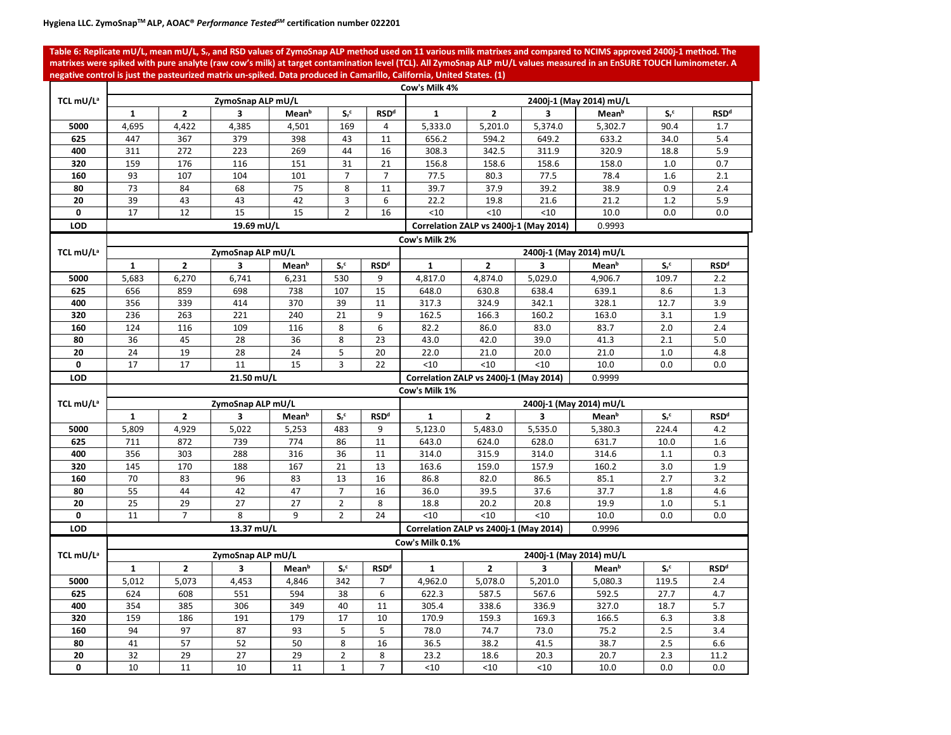**Table 6: Replicate mU/L, mean mU/L, S***r***, and RSD values of ZymoSnap ALP method used on 11 various milk matrixes and compared to NCIMS approved 2400j-1 method. The matrixes were spiked with pure analyte (raw cow's milk) at target contamination level (TCL). All ZymoSnap ALP mU/L values measured in an EnSURE TOUCH luminometer. A negative control is just the pasteurized matrix un-spiked. Data produced in Camarillo, California, United States. (1)**

|                       | Cow's Milk 4% |                |                   |                   |                    |                |                                                  |                                        |         |                         |                    |                        |  |  |  |  |  |
|-----------------------|---------------|----------------|-------------------|-------------------|--------------------|----------------|--------------------------------------------------|----------------------------------------|---------|-------------------------|--------------------|------------------------|--|--|--|--|--|
| TCL mU/L <sup>a</sup> |               |                | ZymoSnap ALP mU/L |                   |                    |                |                                                  |                                        |         | 2400j-1 (May 2014) mU/L |                    |                        |  |  |  |  |  |
|                       | $\mathbf{1}$  | $\overline{2}$ | 3                 | Mean <sup>b</sup> | $S_r$ <sup>c</sup> | <b>RSDd</b>    | $\mathbf{1}$                                     | $\mathbf{z}$                           | 3       | Mean <sup>b</sup>       | $S_r^c$            | <b>RSD<sup>d</sup></b> |  |  |  |  |  |
| 5000                  | 4,695         | 4,422          | 4,385             | 4,501             | 169                | 4              | 5,333.0                                          | 5,201.0                                | 5.374.0 | 5.302.7                 | 90.4               | 1.7                    |  |  |  |  |  |
| 625                   | 447           | 367            | 379               | 398               | 43                 | 11             | 656.2                                            | 594.2                                  | 649.2   | 633.2                   | 34.0               | 5.4                    |  |  |  |  |  |
| 400                   | 311           | 272            | 223               | 269               | 44                 | 16             | 308.3                                            | 342.5                                  | 311.9   | 320.9                   | 18.8               | 5.9                    |  |  |  |  |  |
| 320                   | 159           | 176            | 116               | 151               | 31                 | 21             | 156.8                                            | 158.6                                  | 158.6   | 158.0                   | 1.0                | 0.7                    |  |  |  |  |  |
| 160                   | 93            | 107            | 104               | 101               | $\overline{7}$     | $\overline{7}$ | 77.5                                             | 80.3                                   | 77.5    | 78.4                    | 1.6                | 2.1                    |  |  |  |  |  |
| 80                    | 73            | 84             | 68                | 75                | 8                  | 11             | 39.7                                             | 37.9                                   | 39.2    | 38.9                    | 0.9                | 2.4                    |  |  |  |  |  |
| 20                    | 39            | 43             | 43                | 42                | 3                  | 6              | 22.2                                             | 19.8                                   | 21.6    | 21.2                    | 1.2                | 5.9                    |  |  |  |  |  |
| 0                     | 17            | 12             | 15                | 15                | $\overline{2}$     | 16             | <10                                              | < 10                                   | < 10    | 10.0                    | 0.0                | 0.0                    |  |  |  |  |  |
| <b>LOD</b>            |               |                | 19.69 mU/L        |                   |                    |                |                                                  | Correlation ZALP vs 2400j-1 (May 2014) |         | 0.9993                  |                    |                        |  |  |  |  |  |
|                       |               |                |                   |                   |                    |                | Cow's Milk 2%                                    |                                        |         |                         |                    |                        |  |  |  |  |  |
| TCL mU/L <sup>a</sup> |               |                | ZymoSnap ALP mU/L |                   |                    |                |                                                  |                                        |         | 2400j-1 (May 2014) mU/L |                    |                        |  |  |  |  |  |
|                       | $\mathbf{1}$  | $\overline{2}$ | 3                 | Mean <sup>b</sup> | $S_r$ <sup>c</sup> | <b>RSDd</b>    | $\mathbf{1}$                                     | $\overline{2}$                         | 3       | Mean <sup>b</sup>       | $S_r$ <sup>c</sup> | <b>RSDd</b>            |  |  |  |  |  |
| 5000                  | 5,683         | 6,270          | 6,741             | 6,231             | 530                | 9              | 4,817.0                                          | 4,874.0                                | 5,029.0 | 4,906.7                 | 109.7              | 2.2                    |  |  |  |  |  |
| 625                   | 656           | 859            | 698               | 738               | 107                | 15             | 648.0                                            | 630.8                                  | 638.4   | 639.1                   | 8.6                | 1.3                    |  |  |  |  |  |
| 400                   | 356           | 339            | 414               | 370               | 39                 | 11             | 317.3                                            | 324.9                                  | 342.1   | 328.1                   | 12.7               | 3.9                    |  |  |  |  |  |
| 320                   | 236           | 263            | 221               | 240               | 21                 | 9              | 162.5                                            | 166.3                                  | 160.2   | 163.0                   | 3.1                | 1.9                    |  |  |  |  |  |
| 160                   | 124           | 116            | 109               | 116               | 8                  | 6              | 82.2                                             | 86.0                                   | 83.0    | 83.7                    | 2.0                | 2.4                    |  |  |  |  |  |
| 80                    | 36            | 45             | 28                | 36                | 8                  | 23             | 43.0                                             | 42.0                                   | 39.0    | 41.3                    | 2.1                | 5.0                    |  |  |  |  |  |
| 20                    | 24            | 19             | 28                | 24                | 5                  | 20             | 22.0                                             | 21.0                                   | 20.0    | 21.0                    | 1.0                | 4.8                    |  |  |  |  |  |
| 0                     | 17            | 17             | 11                | 15                | $\overline{3}$     | 22             | < 10                                             | < 10                                   | < 10    | 10.0                    | 0.0                | 0.0                    |  |  |  |  |  |
| <b>LOD</b>            |               |                | 21.50 mU/L        |                   |                    |                | Correlation ZALP vs 2400j-1 (May 2014)           |                                        |         | 0.9999                  |                    |                        |  |  |  |  |  |
|                       |               |                |                   |                   |                    |                | Cow's Milk 1%                                    |                                        |         |                         |                    |                        |  |  |  |  |  |
| TCL mU/L <sup>a</sup> |               |                | ZymoSnap ALP mU/L |                   |                    |                |                                                  |                                        |         | 2400j-1 (May 2014) mU/L |                    |                        |  |  |  |  |  |
|                       | 1             | $\overline{2}$ | 3                 | Mean <sup>b</sup> | $S_r$ <sup>c</sup> | <b>RSDd</b>    | $\mathbf{1}$                                     | $\overline{2}$                         | 3       | Mean <sup>b</sup>       | $S_r$ <sup>c</sup> | <b>RSDd</b>            |  |  |  |  |  |
| 5000                  | 5,809         | 4,929          | 5,022             | 5,253             | 483                | 9              | 5.123.0                                          | 5,483.0                                | 5,535.0 | 5,380.3                 | 224.4              | 4.2                    |  |  |  |  |  |
| 625                   | 711           | 872            | 739               | 774               | 86                 | 11             | 643.0                                            | 624.0                                  | 628.0   | 631.7                   | 10.0               | 1.6                    |  |  |  |  |  |
| 400                   | 356           | 303            | 288               | 316               | 36                 | 11             | 314.0                                            | 315.9                                  | 314.0   | 314.6                   | 1.1                | 0.3                    |  |  |  |  |  |
| 320                   | 145           | 170            | 188               | 167               | 21                 | 13             | 163.6                                            | 159.0                                  | 157.9   | 160.2                   | 3.0                | 1.9                    |  |  |  |  |  |
| 160                   | 70            | 83             | 96                | 83                | 13                 | 16             | 86.8                                             | 82.0                                   | 86.5    | 85.1                    | 2.7                | 3.2                    |  |  |  |  |  |
| 80                    | 55            | 44             | 42                | 47                | $\overline{7}$     | 16             | 36.0                                             | 39.5                                   | 37.6    | 37.7                    | 1.8                | 4.6                    |  |  |  |  |  |
| 20                    | 25            | 29             | 27                | 27                | $\overline{2}$     | 8              | 18.8                                             | 20.2                                   | 20.8    | 19.9                    | 1.0                | 5.1                    |  |  |  |  |  |
| 0                     | 11            | $\overline{7}$ | 8                 | 9                 | $\overline{2}$     | 24             | < 10                                             | < 10                                   | < 10    | 10.0                    | 0.0                | 0.0                    |  |  |  |  |  |
| <b>LOD</b>            |               |                | 13.37 mU/L        |                   |                    |                | Correlation ZALP vs 2400j-1 (May 2014)<br>0.9996 |                                        |         |                         |                    |                        |  |  |  |  |  |
|                       |               |                |                   |                   |                    |                | Cow's Milk 0.1%                                  |                                        |         |                         |                    |                        |  |  |  |  |  |
| TCL mU/L <sup>a</sup> |               |                | ZymoSnap ALP mU/L |                   |                    |                |                                                  |                                        |         | 2400j-1 (May 2014) mU/L |                    |                        |  |  |  |  |  |
|                       | $\mathbf{1}$  | $\overline{2}$ | 3                 | Mean <sup>b</sup> | $S_r$ <sup>c</sup> | <b>RSDd</b>    | $\mathbf{1}$                                     | $\overline{2}$                         | 3       | Mean <sup>b</sup>       | $S_r$ <sup>c</sup> | <b>RSDd</b>            |  |  |  |  |  |
| 5000                  | 5,012         | 5,073          | 4,453             | 4,846             | 342                | $\overline{7}$ | 4,962.0                                          | 5,078.0                                | 5,201.0 | 5,080.3                 | 119.5              | 2.4                    |  |  |  |  |  |
| 625                   | 624           | 608            | 551               | 594               | 38                 | 6              | 622.3                                            | 587.5                                  | 567.6   | 592.5                   | 27.7               | 4.7                    |  |  |  |  |  |
| 400                   | 354           | 385            | 306               | 349               | 40                 | 11             | 305.4                                            | 338.6                                  | 336.9   | 327.0                   | 18.7               | 5.7                    |  |  |  |  |  |
| 320                   | 159           | 186            | 191               | 179               | 17                 | 10             | 170.9                                            | 159.3                                  | 169.3   | 166.5                   | 6.3                | 3.8                    |  |  |  |  |  |
| 160                   | 94            | 97             | 87                | 93                | 5                  | 5              | 78.0                                             | 74.7                                   | 73.0    | 75.2                    | 2.5                | 3.4                    |  |  |  |  |  |
| 80                    | 41            | 57             | 52                | 50                | 8                  | 16             | 36.5                                             | 38.2                                   | 41.5    | 38.7                    | 2.5                | 6.6                    |  |  |  |  |  |
| 20                    | 32            | 29             | $\overline{27}$   | 29                | $\overline{2}$     | 8              | 23.2                                             | 18.6                                   | 20.3    | 20.7                    | 2.3                | 11.2                   |  |  |  |  |  |
| $\mathbf 0$           | 10            | 11             | 10                | 11                | $\mathbf{1}$       | $\overline{7}$ | $<$ 10                                           | <10                                    | < 10    | 10.0                    | 0.0                | 0.0                    |  |  |  |  |  |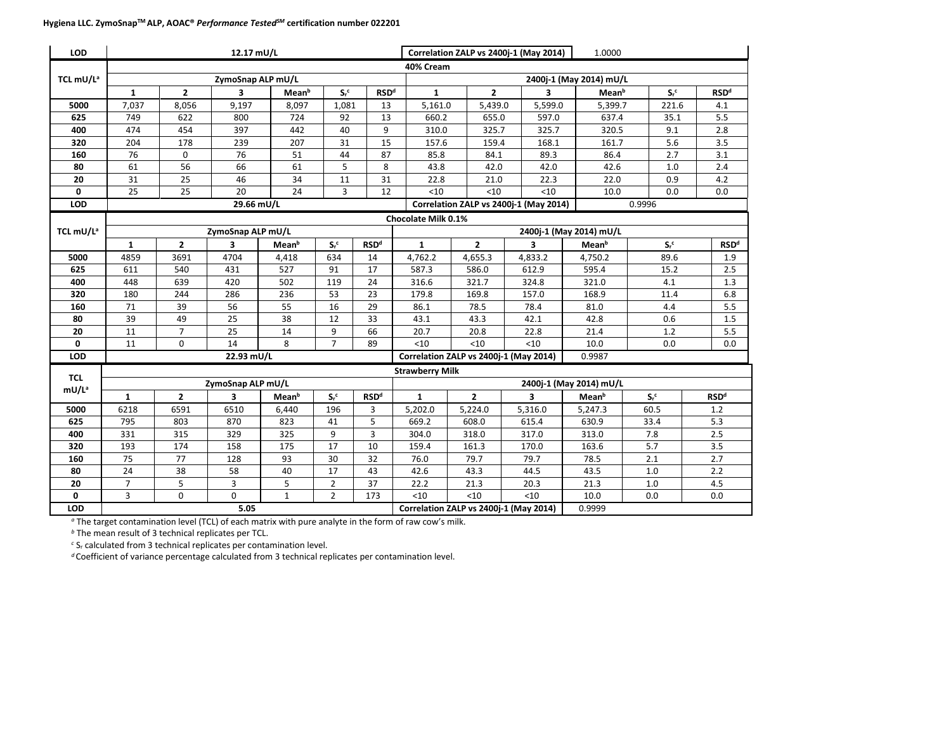| <b>LOD</b>                      |                |                | 12.17 mU/L        |                   |                |                        |                        |                                                            | Correlation ZALP vs 2400j-1 (May 2014) | 1.0000                  |         |                        |  |
|---------------------------------|----------------|----------------|-------------------|-------------------|----------------|------------------------|------------------------|------------------------------------------------------------|----------------------------------------|-------------------------|---------|------------------------|--|
|                                 |                |                |                   |                   |                |                        | 40% Cream              |                                                            |                                        |                         |         |                        |  |
| TCL mU/L <sup>a</sup>           |                |                | ZymoSnap ALP mU/L |                   |                |                        |                        |                                                            |                                        | 2400j-1 (May 2014) mU/L |         |                        |  |
|                                 | $\mathbf{1}$   | $\mathbf{2}$   | 3                 | Mean <sup>b</sup> | $S_r^c$        | <b>RSDd</b>            | $\mathbf{1}$           | $\overline{2}$                                             | 3                                      | Mean <sup>b</sup>       | $S_r^c$ | <b>RSD<sup>d</sup></b> |  |
| 5000                            | 7,037          | 8,056          | 9,197             | 8,097             | 1,081          | 13                     | 5,161.0                | 5,439.0                                                    | 5,599.0                                | 5,399.7                 | 221.6   | 4.1                    |  |
| 625                             | 749            | 622            | 800               | 724               | 92             | 13                     | 660.2                  | 655.0                                                      | 597.0                                  | 637.4                   | 35.1    | 5.5                    |  |
| 400                             | 474            | 454            | 397               | 442               | 40             | 9                      | 310.0                  | 325.7                                                      | 325.7                                  | 320.5                   | 9.1     | 2.8                    |  |
| 320                             | 204            | 178            | 239               | 207               | 31             | 15                     | 157.6                  | 159.4                                                      | 168.1                                  | 161.7                   | 5.6     | 3.5                    |  |
| 160                             | 76             | $\Omega$       | 76                | 51                | 44             | 87                     | 85.8                   | 84.1                                                       | 89.3                                   | 86.4                    | 2.7     | 3.1                    |  |
| 80                              | 61             | 56             | 66                | 61                | 5              | 8                      | 43.8                   | 42.0                                                       | 42.0                                   | 42.6                    | 1.0     | 2.4                    |  |
| 20                              | 31             | 25             | 46                | 34                | 11             | 31                     | 22.8                   | 21.0                                                       | 22.3                                   | 22.0                    | 0.9     | 4.2                    |  |
| 0                               | 25             | 25             | 20                | 24                | 3              | 12                     | < 10                   | < 10                                                       | < 10                                   | 10.0                    | 0.0     | 0.0                    |  |
| <b>LOD</b>                      |                |                | 29.66 mU/L        |                   |                |                        |                        |                                                            | Correlation ZALP vs 2400j-1 (May 2014) |                         | 0.9996  |                        |  |
|                                 |                |                |                   |                   |                |                        | Chocolate Milk 0.1%    |                                                            |                                        |                         |         |                        |  |
| TCL mU/L <sup>a</sup>           |                |                | ZymoSnap ALP mU/L |                   |                |                        |                        |                                                            |                                        | 2400j-1 (May 2014) mU/L |         |                        |  |
|                                 | $\mathbf{1}$   | $\overline{2}$ | 3                 | Mean <sup>b</sup> | $S_r^c$        | <b>RSDd</b>            | $\mathbf{1}$           | $\overline{2}$                                             | 3                                      | Mean <sup>b</sup>       | $S_r^c$ | <b>RSDd</b>            |  |
| 5000                            | 4859           | 3691           | 4704              | 4,418             | 634            | 14                     | 4,762.2                | 4,655.3                                                    | 4,833.2                                | 4,750.2                 | 89.6    | 1.9                    |  |
| 625                             | 611            | 540            | 431               | 527               | 91             | 17                     | 587.3                  | 586.0                                                      | 612.9                                  | 595.4                   | 15.2    | 2.5                    |  |
| 400                             | 448            | 639            | 420               | 502               | 119            | 24                     | 316.6                  | 321.7                                                      | 324.8                                  | 321.0                   | 4.1     | 1.3                    |  |
| 320                             | 180            | 244            | 286               | 236               | 53             | 23                     | 179.8                  | 169.8                                                      | 157.0                                  | 168.9                   | 11.4    | 6.8                    |  |
| 160                             | 71             | 39             | 56                | 55                | 16             | 29                     | 86.1                   | 78.5                                                       | 78.4                                   | 81.0                    | 4.4     | 5.5                    |  |
| 80                              | 39             | 49             | 25                | 38                | 12             | 33                     | 43.1                   | 43.3                                                       | 42.1                                   | 42.8                    | 0.6     | $1.5\,$                |  |
| 20                              | 11             | $\overline{7}$ | 25                | 14                | 9              | 66                     | 20.7                   | 20.8                                                       | 22.8                                   | 21.4                    | 1.2     | 5.5                    |  |
| $\mathbf{0}$                    | 11             | 0              | 14                | 8                 | $\overline{7}$ | 89                     | $<$ 10                 | < 10                                                       | $<$ 10                                 | 10.0                    | 0.0     | 0.0                    |  |
| <b>LOD</b>                      |                |                | 22.93 mU/L        |                   |                |                        |                        |                                                            | Correlation ZALP vs 2400j-1 (May 2014) | 0.9987                  |         |                        |  |
|                                 |                |                |                   |                   |                |                        | <b>Strawberry Milk</b> |                                                            |                                        |                         |         |                        |  |
| <b>TCL</b><br>mU/L <sup>a</sup> |                |                | ZymoSnap ALP mU/L |                   |                |                        |                        |                                                            |                                        | 2400j-1 (May 2014) mU/L |         |                        |  |
|                                 | $\mathbf{1}$   | $\overline{2}$ | 3                 | Mean <sup>b</sup> | $S_r^c$        | <b>RSD<sup>d</sup></b> | $\mathbf{1}$           | $\overline{2}$<br>$S_r$ <sup>c</sup><br>3<br><b>Mean</b> b |                                        |                         |         |                        |  |
| 5000                            | 6218           | 6591           | 6510              | 6,440             | 196            | 3                      | 5,202.0                | 5,224.0                                                    | 5,316.0                                | 5,247.3                 | 60.5    | 1.2                    |  |
| 625                             | 795            | 803            | 870               | 823               | 41             | 5                      | 669.2                  | 608.0                                                      | 615.4                                  | 630.9                   | 33.4    | 5.3                    |  |
| 400                             | 331            | 315            | 329               | 325               | 9              | 3                      | 304.0                  | 318.0                                                      | 317.0                                  | 313.0                   | 7.8     | 2.5                    |  |
| 320                             | 193            | 174            | 158               | 175               | 17             | 10                     | 159.4                  | 161.3                                                      | 170.0                                  | 163.6                   | 5.7     | 3.5                    |  |
| 160                             | 75             | 77             | 128               | 93                | 30             | 32                     | 76.0                   | 79.7                                                       | 79.7                                   | 78.5                    | 2.1     | 2.7                    |  |
| 80                              | 24             | 38             | 58                | 40                | 17             | 43                     | 42.6                   | 43.3                                                       | 44.5                                   | 43.5                    | $1.0$   | 2.2                    |  |
| 20                              | $\overline{7}$ | 5              | 3                 | 5                 | $\overline{2}$ | 37                     | 22.2                   | 21.3                                                       | 20.3                                   | 21.3                    | 1.0     | 4.5                    |  |
| 0                               | 3              | 0              | 0                 | $\mathbf{1}$      | $\overline{2}$ | 173                    | < 10                   | < 10                                                       | < 10                                   | 10.0                    | 0.0     | 0.0                    |  |
| <b>LOD</b>                      |                |                | 5.05              |                   |                |                        |                        |                                                            | Correlation ZALP vs 2400j-1 (May 2014) | 0.9999                  |         |                        |  |

*<sup>a</sup>* The target contamination level (TCL) of each matrix with pure analyte in the form of raw cow's milk.

*<sup>b</sup>* The mean result of 3 technical replicates per TCL.

*<sup>c</sup>* Sr calculated from 3 technical replicates per contamination level.

*d* Coefficient of variance percentage calculated from 3 technical replicates per contamination level.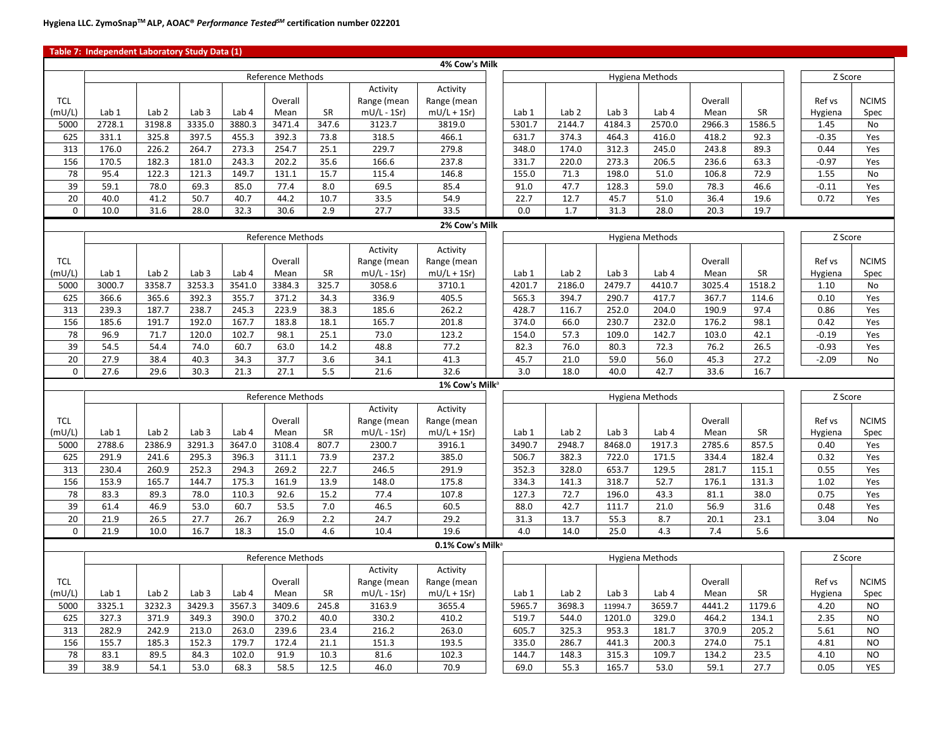|                 | Table 7: Independent Laboratory Study Data (1) |                  |                  |               |                          |              |               |                              |               |                  |                  |                        |               |              |                    |              |
|-----------------|------------------------------------------------|------------------|------------------|---------------|--------------------------|--------------|---------------|------------------------------|---------------|------------------|------------------|------------------------|---------------|--------------|--------------------|--------------|
|                 |                                                |                  |                  |               |                          |              |               | 4% Cow's Milk                |               |                  |                  |                        |               |              |                    |              |
|                 |                                                |                  |                  |               | <b>Reference Methods</b> |              |               |                              |               |                  |                  | Hygiena Methods        |               |              | Z Score            |              |
|                 |                                                |                  |                  |               |                          |              | Activity      | Activity                     |               |                  |                  |                        |               |              |                    |              |
| <b>TCL</b>      |                                                |                  |                  |               | Overall                  |              | Range (mean   | Range (mean                  |               |                  |                  |                        | Overall       |              | Ref vs             | <b>NCIMS</b> |
| (mU/L)          | Lab 1                                          | Lab <sub>2</sub> | Lab <sub>3</sub> | Lab 4         | Mean                     | <b>SR</b>    | $mU/L - 1Sr)$ | $mU/L + 1Sr)$                | Lab 1         | Lab <sub>2</sub> | Lab <sub>3</sub> | Lab 4                  | Mean          | SR           | Hygiena            | Spec         |
| 5000            | 2728.1                                         | 3198.8           | 3335.0           | 3880.3        | 3471.4                   | 347.6        | 3123.7        | 3819.0                       | 5301.7        | 2144.7           | 4184.3           | 2570.0                 | 2966.3        | 1586.5       | 1.45               | No           |
| 625             | 331.1                                          | 325.8            | 397.5            | 455.3         | 392.3                    | 73.8         | 318.5         | 466.1                        | 631.7         | 374.3            | 464.3            | 416.0                  | 418.2         | 92.3         | $-0.35$            | Yes          |
| 313             | 176.0                                          | 226.2            | 264.7            | 273.3         | 254.7                    | 25.1         | 229.7         | 279.8                        | 348.0         | 174.0            | 312.3            | 245.0                  | 243.8         | 89.3         | 0.44               | Yes          |
| 156             | 170.5                                          | 182.3            | 181.0            | 243.3         | 202.2                    | 35.6         | 166.6         | 237.8                        | 331.7         | 220.0            | 273.3            | 206.5                  | 236.6         | 63.3         | $-0.97$            | Yes          |
| 78              | 95.4                                           | 122.3            | 121.3            | 149.7         | 131.1                    | 15.7         | 115.4         | 146.8                        | 155.0         | 71.3             | 198.0            | 51.0                   | 106.8         | 72.9         | 1.55               | No           |
| 39              | 59.1                                           | 78.0             | 69.3             | 85.0          | 77.4                     | 8.0          | 69.5          | 85.4                         | 91.0          | 47.7             | 128.3            | 59.0                   | 78.3          | 46.6         | $-0.11$            | Yes          |
| 20              | 40.0                                           | 41.2             | 50.7             | 40.7          | 44.2                     | 10.7         | 33.5          | 54.9                         | 22.7          | 12.7             | 45.7             | 51.0                   | 36.4          | 19.6         | 0.72               | Yes          |
| $\mathbf 0$     | 10.0                                           | 31.6             | 28.0             | 32.3          | 30.6                     | 2.9          | 27.7          | 33.5                         | 0.0           | 1.7              | 31.3             | 28.0                   | 20.3          | 19.7         |                    |              |
|                 |                                                |                  |                  |               |                          |              |               | 2% Cow's Milk                |               |                  |                  |                        |               |              |                    |              |
|                 |                                                |                  |                  |               | Reference Methods        |              |               |                              |               |                  |                  | <b>Hygiena Methods</b> |               |              | Z Score            |              |
|                 |                                                |                  |                  |               |                          |              | Activity      | Activity                     |               |                  |                  |                        |               |              |                    |              |
| <b>TCL</b>      |                                                |                  |                  |               | Overall                  |              | Range (mean   | Range (mean                  |               |                  |                  |                        | Overall       |              | Ref vs             | <b>NCIMS</b> |
| (mU/L)          | Lab 1                                          | Lab <sub>2</sub> | Lab <sub>3</sub> | Lab 4         | Mean                     | <b>SR</b>    | $mU/L - 1Sr)$ | $mU/L + 1Sr)$                | Lab 1         | Lab <sub>2</sub> | Lab <sub>3</sub> | Lab 4                  | Mean          | SR           | Hygiena            | Spec         |
| 5000            | 3000.7                                         | 3358.7           | 3253.3           | 3541.0        | 3384.3                   | 325.7        | 3058.6        | 3710.1                       | 4201.7        | 2186.0           | 2479.7           | 4410.7                 | 3025.4        | 1518.2       | 1.10               | No           |
| 625             | 366.6                                          | 365.6            | 392.3            | 355.7         | 371.2                    | 34.3         | 336.9         | 405.5                        | 565.3         | 394.7            | 290.7            | 417.7                  | 367.7         | 114.6        | 0.10               | Yes          |
| 313             | 239.3                                          | 187.7            | 238.7            | 245.3         | 223.9                    | 38.3         | 185.6         | 262.2                        | 428.7         | 116.7            | 252.0            | 204.0                  | 190.9         | 97.4         | 0.86               | Yes          |
| 156             | 185.6                                          | 191.7            | 192.0            | 167.7         | 183.8                    | 18.1         | 165.7         | 201.8                        | 374.0         | 66.0             | 230.7            | 232.0                  | 176.2         | 98.1         | 0.42               | Yes          |
| 78<br>39        | 96.9<br>54.5                                   | 71.7<br>54.4     | 120.0<br>74.0    | 102.7<br>60.7 | 98.1<br>63.0             | 25.1<br>14.2 | 73.0<br>48.8  | 123.2<br>77.2                | 154.0<br>82.3 | 57.3<br>76.0     | 109.0<br>80.3    | 142.7<br>72.3          | 103.0<br>76.2 | 42.1<br>26.5 | $-0.19$<br>$-0.93$ | Yes<br>Yes   |
| 20              | 27.9                                           | 38.4             | 40.3             | 34.3          | 37.7                     | 3.6          | 34.1          | 41.3                         | 45.7          | 21.0             | 59.0             | 56.0                   | 45.3          | 27.2         | $-2.09$            | <b>No</b>    |
| $\mathbf 0$     | 27.6                                           | 29.6             | 30.3             | 21.3          | 27.1                     | 5.5          | 21.6          | 32.6                         | 3.0           | 18.0             | 40.0             | 42.7                   | 33.6          | 16.7         |                    |              |
|                 |                                                |                  |                  |               |                          |              |               | 1% Cow's Milk <sup>a</sup>   |               |                  |                  |                        |               |              |                    |              |
|                 |                                                |                  |                  |               | <b>Reference Methods</b> |              |               |                              |               |                  |                  | <b>Hygiena Methods</b> |               |              | Z Score            |              |
|                 |                                                |                  |                  |               |                          |              | Activity      | Activity                     |               |                  |                  |                        |               |              |                    |              |
| <b>TCL</b>      |                                                |                  |                  |               | Overall                  |              | Range (mean   | Range (mean                  |               |                  |                  |                        | Overall       |              | Ref vs             | <b>NCIMS</b> |
| (mU/L)          | Lab 1                                          | Lab <sub>2</sub> | Lab <sub>3</sub> | Lab 4         | Mean                     | SR           | $mU/L - 1Sr)$ | $mU/L + 1Sr)$                | Lab 1         | Lab <sub>2</sub> | Lab <sub>3</sub> | Lab 4                  | Mean          | SR           | Hygiena            | Spec         |
| 5000            | 2788.6                                         | 2386.9           | 3291.3           | 3647.0        | 3108.4                   | 807.7        | 2300.7        | 3916.1                       | 3490.7        | 2948.7           | 8468.0           | 1917.3                 | 2785.6        | 857.5        | 0.40               | Yes          |
| 625             | 291.9                                          | 241.6            | 295.3            | 396.3         | 311.1                    | 73.9         | 237.2         | 385.0                        | 506.7         | 382.3            | 722.0            | 171.5                  | 334.4         | 182.4        | 0.32               | Yes          |
| 313             | 230.4                                          | 260.9            | 252.3            | 294.3         | 269.2                    | 22.7         | 246.5         | 291.9                        | 352.3         | 328.0            | 653.7            | 129.5                  | 281.7         | 115.1        | 0.55               | Yes          |
| 156             | 153.9                                          | 165.7            | 144.7            | 175.3         | 161.9                    | 13.9         | 148.0         | 175.8                        | 334.3         | 141.3            | 318.7            | 52.7                   | 176.1         | 131.3        | 1.02               | Yes          |
| 78              | 83.3                                           | 89.3             | 78.0             | 110.3         | 92.6                     | 15.2         | 77.4          | 107.8                        | 127.3         | 72.7             | 196.0            | 43.3                   | 81.1          | 38.0         | 0.75               | Yes          |
| 39              | 61.4                                           | 46.9             | 53.0             | 60.7          | 53.5                     | 7.0          | 46.5          | 60.5                         | 88.0          | 42.7             | 111.7            | 21.0                   | 56.9          | 31.6         | 0.48               | Yes          |
| $\overline{20}$ | 21.9                                           | 26.5             | 27.7             | 26.7          | 26.9                     | 2.2          | 24.7          | 29.2                         | 31.3          | 13.7             | 55.3             | 8.7                    | 20.1          | 23.1         | 3.04               | No           |
| $\mathsf 0$     | 21.9                                           | 10.0             | 16.7             | 18.3          | 15.0                     | 4.6          | 10.4          | 19.6                         | 4.0           | 14.0             | 25.0             | 4.3                    | 7.4           | 5.6          |                    |              |
|                 |                                                |                  |                  |               |                          |              |               | 0.1% Cow's Milk <sup>a</sup> |               |                  |                  |                        |               |              |                    |              |
|                 |                                                |                  |                  |               | <b>Reference Methods</b> |              |               |                              |               |                  |                  | Hygiena Methods        |               |              | Z Score            |              |
|                 |                                                |                  |                  |               |                          |              | Activity      | Activity                     |               |                  |                  |                        |               |              |                    |              |
| <b>TCL</b>      |                                                |                  |                  |               | Overall                  |              | Range (mean   | Range (mean                  |               |                  |                  |                        | Overall       |              | Ref vs             | <b>NCIMS</b> |
| (mU/L)          | Lab 1                                          | Lab <sub>2</sub> | Lab <sub>3</sub> | Lab 4         | Mean                     | SR           | $mU/L - 1Sr$  | $mU/L + 1Sr)$                | Lab 1         | Lab <sub>2</sub> | Lab <sub>3</sub> | Lab 4                  | Mean          | SR           | Hygiena            | Spec         |
| 5000            | 3325.1                                         | 3232.3           | 3429.3           | 3567.3        | 3409.6                   | 245.8        | 3163.9        | 3655.4                       | 5965.7        | 3698.3           | 11994.7          | 3659.7                 | 4441.2        | 1179.6       | 4.20               | <b>NO</b>    |
| 625             | 327.3                                          | 371.9            | 349.3            | 390.0         | 370.2                    | 40.0         | 330.2         | 410.2                        | 519.7         | 544.0            | 1201.0           | 329.0                  | 464.2         | 134.1        | 2.35               | <b>NO</b>    |
| 313             | 282.9                                          | 242.9            | 213.0            | 263.0         | 239.6                    | 23.4         | 216.2         | 263.0                        | 605.7         | 325.3            | 953.3            | 181.7                  | 370.9         | 205.2        | 5.61               | <b>NO</b>    |
| 156             | 155.7                                          | 185.3            | 152.3            | 179.7         | 172.4                    | 21.1         | 151.3         | 193.5                        | 335.0         | 286.7            | 441.3            | 200.3                  | 274.0         | 75.1         | 4.81               | <b>NO</b>    |
| 78              | 83.1                                           | 89.5             | 84.3             | 102.0         | 91.9                     | 10.3         | 81.6          | 102.3                        | 144.7         | 148.3            | 315.3            | 109.7                  | 134.2         | 23.5         | 4.10               | <b>NO</b>    |
| 39              | 38.9                                           | 54.1             | 53.0             | 68.3          | 58.5                     | 12.5         | 46.0          | 70.9                         | 69.0          | 55.3             | 165.7            | 53.0                   | 59.1          | 27.7         | 0.05               | <b>YES</b>   |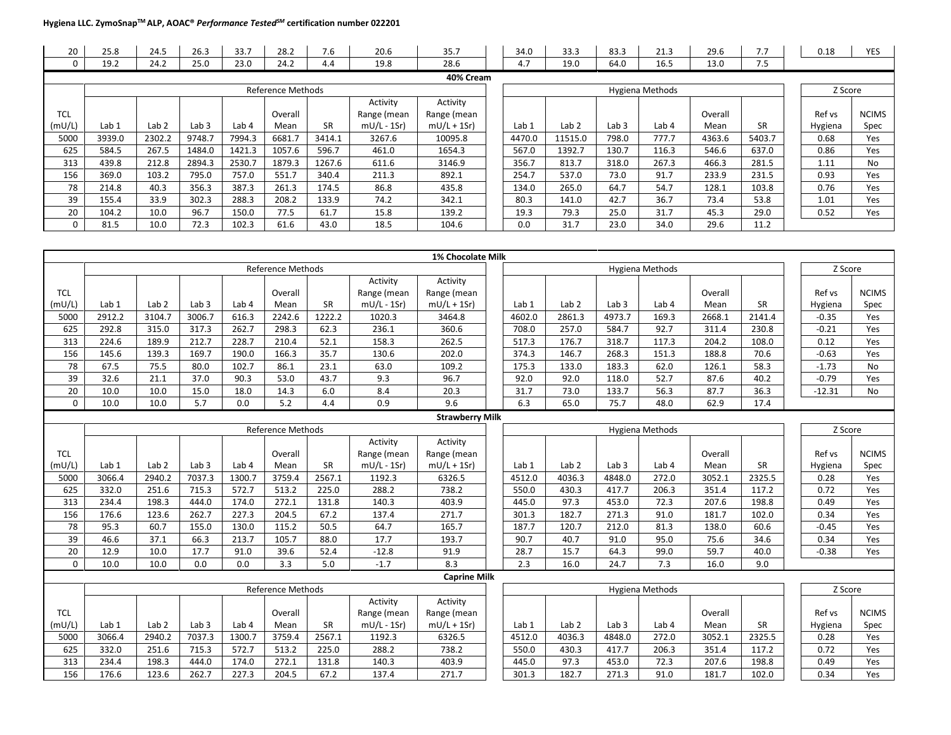| 20         | 25.8   | 24.5             | 26.3             | 33.7   | 28.2              | 7.6    | 20.6         | 35.7          | 34.0   | 33.3             | 83.3             | 21.3             | 29.6    | 7.7       | 0.18    | YES          |
|------------|--------|------------------|------------------|--------|-------------------|--------|--------------|---------------|--------|------------------|------------------|------------------|---------|-----------|---------|--------------|
|            | 19.2   | 24.2             | 25.0             | 23.0   | 24.2              | 4.4    | 19.8         | 28.6          | 4.7    | 19.0             | 64.0             | 16.5             | 13.0    | 7.5       |         |              |
|            |        |                  |                  |        |                   |        |              | 40% Cream     |        |                  |                  |                  |         |           |         |              |
|            |        |                  |                  |        | Reference Methods |        |              |               |        |                  |                  | Hygiena Methods  |         |           | Z Score |              |
|            |        |                  |                  |        |                   |        | Activity     | Activity      |        |                  |                  |                  |         |           |         |              |
| <b>TCL</b> |        |                  |                  |        | Overall           |        | Range (mean  | Range (mean   |        |                  |                  |                  | Overall |           | Ref vs  | <b>NCIMS</b> |
| (mU/L)     | Lab 1  | Lab <sub>2</sub> | Lab <sub>3</sub> | Lab 4  | Mean              | SR.    | $mU/L - 1Sr$ | $mU/L + 1Sr)$ | Lab 1  | Lab <sub>2</sub> | Lab <sub>3</sub> | Lab <sub>4</sub> | Mean    | <b>SR</b> | Hygiena | Spec         |
| 5000       | 3939.0 | 2302.2           | 9748.7           | 7994.3 | 6681.7            | 3414.1 | 3267.6       | 10095.8       | 4470.0 | 11515.0          | 798.0            | 777.7            | 4363.6  | 5403.7    | 0.68    | Yes          |
| 625        | 584.5  | 267.5            | 1484.0           | 1421.3 | 1057.6            | 596.7  | 461.0        | 1654.3        | 567.0  | 1392.7           | 130.7            | 116.3            | 546.6   | 637.0     | 0.86    | Yes          |
| 313        | 439.8  | 212.8            | 2894.3           | 2530.7 | 1879.3            | 1267.6 | 611.6        | 3146.9        | 356.7  | 813.7            | 318.0            | 267.3            | 466.3   | 281.5     | 1.11    | No           |
| 156        | 369.0  | 103.2            | 795.0            | 757.0  | 551.7             | 340.4  | 211.3        | 892.1         | 254.7  | 537.0            | 73.0             | 91.7             | 233.9   | 231.5     | 0.93    | Yes          |
| 78         | 214.8  | 40.3             | 356.3            | 387.3  | 261.3             | 174.5  | 86.8         | 435.8         | 134.0  | 265.0            | 64.7             | 54.7             | 128.1   | 103.8     | 0.76    | Yes          |
| 39         | 155.4  | 33.9             | 302.3            | 288.3  | 208.2             | 133.9  | 74.2         | 342.1         | 80.3   | 141.0            | 42.7             | 36.7             | 73.4    | 53.8      | 1.01    | Yes          |
| 20         | 104.2  | 10.0             | 96.7             | 150.0  | 77.5              | 61.7   | 15.8         | 139.2         | 19.3   | 79.3             | 25.0             | 31.7             | 45.3    | 29.0      | 0.52    | Yes          |
|            | 81.5   | 10.0             | 72.3             | 102.3  | 61.6              | 43.0   | 18.5         | 104.6         | 0.0    | 31.7             | 23.0             | 34.0             | 29.6    | 11.2      |         |              |

|                 |                  |                  |                  |                  |                          |           |               | 1% Chocolate Milk      |                  |                  |                  |                  |         |           |          |              |
|-----------------|------------------|------------------|------------------|------------------|--------------------------|-----------|---------------|------------------------|------------------|------------------|------------------|------------------|---------|-----------|----------|--------------|
|                 |                  |                  |                  |                  | <b>Reference Methods</b> |           |               |                        |                  |                  |                  | Hygiena Methods  |         |           | Z Score  |              |
|                 |                  |                  |                  |                  |                          |           | Activity      | Activity               |                  |                  |                  |                  |         |           |          |              |
| <b>TCL</b>      |                  |                  |                  |                  | Overall                  |           | Range (mean   | Range (mean            |                  |                  |                  |                  | Overall |           | Ref vs   | <b>NCIMS</b> |
| (mU/L)          | Lab 1            | Lab <sub>2</sub> | Lab <sub>3</sub> | Lab 4            | Mean                     | <b>SR</b> | $mU/L - 1Sr)$ | $mU/L + 1Sr$           | Lab <sub>1</sub> | Lab <sub>2</sub> | Lab <sub>3</sub> | Lab <sub>4</sub> | Mean    | <b>SR</b> | Hygiena  | Spec         |
| 5000            | 2912.2           | 3104.7           | 3006.7           | 616.3            | 2242.6                   | 1222.2    | 1020.3        | 3464.8                 | 4602.0           | 2861.3           | 4973.7           | 169.3            | 2668.1  | 2141.4    | $-0.35$  | Yes          |
| 625             | 292.8            | 315.0            | 317.3            | 262.7            | 298.3                    | 62.3      | 236.1         | 360.6                  | 708.0            | 257.0            | 584.7            | 92.7             | 311.4   | 230.8     | $-0.21$  | Yes          |
| 313             | 224.6            | 189.9            | 212.7            | 228.7            | 210.4                    | 52.1      | 158.3         | 262.5                  | 517.3            | 176.7            | 318.7            | 117.3            | 204.2   | 108.0     | 0.12     | Yes          |
| 156             | 145.6            | 139.3            | 169.7            | 190.0            | 166.3                    | 35.7      | 130.6         | 202.0                  | 374.3            | 146.7            | 268.3            | 151.3            | 188.8   | 70.6      | $-0.63$  | Yes          |
| 78              | 67.5             | 75.5             | 80.0             | 102.7            | 86.1                     | 23.1      | 63.0          | 109.2                  | 175.3            | 133.0            | 183.3            | 62.0             | 126.1   | 58.3      | $-1.73$  | <b>No</b>    |
| 39              | 32.6             | 21.1             | 37.0             | 90.3             | 53.0                     | 43.7      | 9.3           | 96.7                   | 92.0             | 92.0             | 118.0            | 52.7             | 87.6    | 40.2      | $-0.79$  | Yes          |
| $\overline{20}$ | 10.0             | 10.0             | 15.0             | 18.0             | 14.3                     | 6.0       | 8.4           | 20.3                   | 31.7             | 73.0             | 133.7            | 56.3             | 87.7    | 36.3      | $-12.31$ | <b>No</b>    |
| $\Omega$        | 10.0             | 10.0             | 5.7              | 0.0              | 5.2                      | 4.4       | 0.9           | 9.6                    | 6.3              | 65.0             | 75.7             | 48.0             | 62.9    | 17.4      |          |              |
|                 |                  |                  |                  |                  |                          |           |               | <b>Strawberry Milk</b> |                  |                  |                  |                  |         |           |          |              |
|                 |                  |                  |                  |                  | <b>Reference Methods</b> |           |               |                        |                  |                  |                  | Hygiena Methods  |         |           | Z Score  |              |
|                 |                  |                  |                  |                  |                          |           | Activity      | Activity               |                  |                  |                  |                  |         |           |          |              |
| <b>TCL</b>      |                  |                  |                  |                  | Overall                  |           | Range (mean   | Range (mean            |                  |                  |                  |                  | Overall |           | Ref vs   | <b>NCIMS</b> |
| (mU/L)          | Lab <sub>1</sub> | Lab <sub>2</sub> | Lab <sub>3</sub> | Lab <sub>4</sub> | Mean                     | <b>SR</b> | $mU/L - 1Sr)$ | $mU/L + 1Sr$           | Lab <sub>1</sub> | Lab <sub>2</sub> | Lab <sub>3</sub> | Lab <sub>4</sub> | Mean    | <b>SR</b> | Hygiena  | Spec         |
| 5000            | 3066.4           | 2940.2           | 7037.3           | 1300.7           | 3759.4                   | 2567.1    | 1192.3        | 6326.5                 | 4512.0           | 4036.3           | 4848.0           | 272.0            | 3052.1  | 2325.5    | 0.28     | Yes          |
| 625             | 332.0            | 251.6            | 715.3            | 572.7            | 513.2                    | 225.0     | 288.2         | 738.2                  | 550.0            | 430.3            | 417.7            | 206.3            | 351.4   | 117.2     | 0.72     | Yes          |
| 313             | 234.4            | 198.3            | 444.0            | 174.0            | 272.1                    | 131.8     | 140.3         | 403.9                  | 445.0            | 97.3             | 453.0            | 72.3             | 207.6   | 198.8     | 0.49     | Yes          |
| 156             | 176.6            | 123.6            | 262.7            | 227.3            | 204.5                    | 67.2      | 137.4         | 271.7                  | 301.3            | 182.7            | 271.3            | 91.0             | 181.7   | 102.0     | 0.34     | Yes          |
| 78              | 95.3             | 60.7             | 155.0            | 130.0            | 115.2                    | 50.5      | 64.7          | 165.7                  | 187.7            | 120.7            | 212.0            | 81.3             | 138.0   | 60.6      | $-0.45$  | Yes          |
| 39              | 46.6             | 37.1             | 66.3             | 213.7            | 105.7                    | 88.0      | 17.7          | 193.7                  | 90.7             | 40.7             | 91.0             | 95.0             | 75.6    | 34.6      | 0.34     | Yes          |
| 20              | 12.9             | 10.0             | 17.7             | 91.0             | 39.6                     | 52.4      | $-12.8$       | 91.9                   | 28.7             | 15.7             | 64.3             | 99.0             | 59.7    | 40.0      | $-0.38$  | Yes          |
| 0               | 10.0             | 10.0             | 0.0              | 0.0              | 3.3                      | 5.0       | $-1.7$        | 8.3                    | 2.3              | 16.0             | 24.7             | 7.3              | 16.0    | 9.0       |          |              |
|                 |                  |                  |                  |                  |                          |           |               | <b>Caprine Milk</b>    |                  |                  |                  |                  |         |           |          |              |
|                 |                  |                  |                  |                  | <b>Reference Methods</b> |           |               |                        |                  |                  |                  | Hygiena Methods  |         |           | Z Score  |              |
|                 |                  |                  |                  |                  |                          |           | Activity      | Activity               |                  |                  |                  |                  |         |           |          |              |
| <b>TCL</b>      |                  |                  |                  |                  | Overall                  |           | Range (mean   | Range (mean            |                  |                  |                  |                  | Overall |           | Ref vs   | <b>NCIMS</b> |
| (mU/L)          | Lab 1            | Lab <sub>2</sub> | Lab <sub>3</sub> | Lab <sub>4</sub> | Mean                     | <b>SR</b> | $mU/L - 1Sr)$ | $mU/L + 1Sr$           | Lab 1            | Lab <sub>2</sub> | Lab <sub>3</sub> | Lab 4            | Mean    | <b>SR</b> | Hygiena  | Spec         |
| 5000            | 3066.4           | 2940.2           | 7037.3           | 1300.7           | 3759.4                   | 2567.1    | 1192.3        | 6326.5                 | 4512.0           | 4036.3           | 4848.0           | 272.0            | 3052.1  | 2325.5    | 0.28     | Yes          |
| 625             | 332.0            | 251.6            | 715.3            | 572.7            | 513.2                    | 225.0     | 288.2         | 738.2                  | 550.0            | 430.3            | 417.7            | 206.3            | 351.4   | 117.2     | 0.72     | Yes          |
| 313             | 234.4            | 198.3            | 444.0            | 174.0            | 272.1                    | 131.8     | 140.3         | 403.9                  | 445.0            | 97.3             | 453.0            | 72.3             | 207.6   | 198.8     | 0.49     | Yes          |
| 156             | 176.6            | 123.6            | 262.7            | 227.3            | 204.5                    | 67.2      | 137.4         | 271.7                  | 301.3            | 182.7            | 271.3            | 91.0             | 181.7   | 102.0     | 0.34     | Yes          |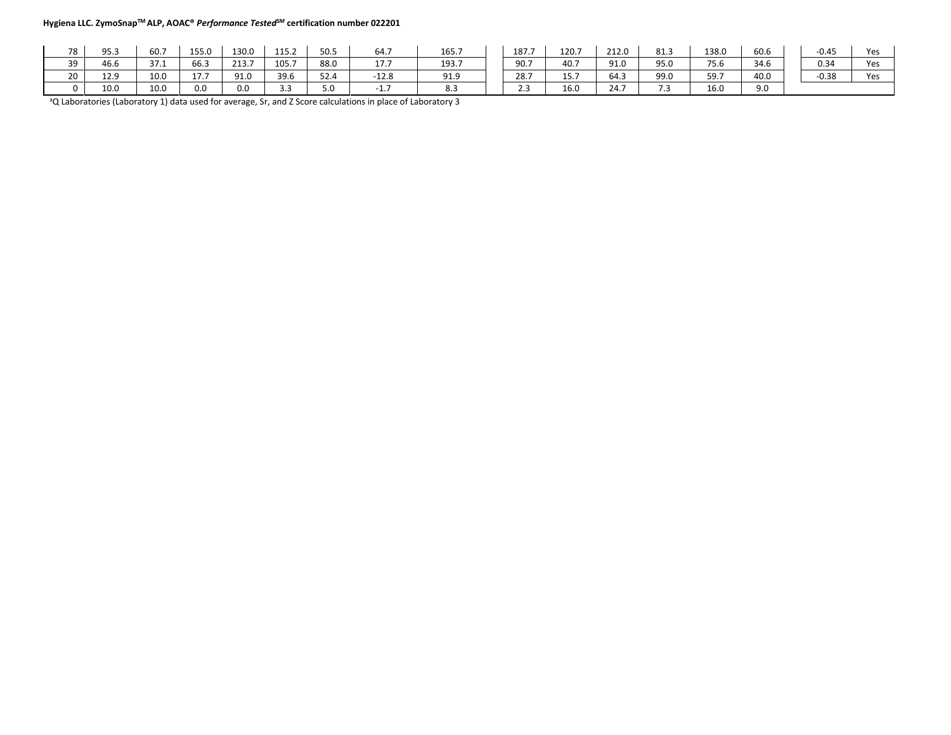| 78 | 95.3 | 60.7 | 155.0               | 130.0 | 115.2 | 50.5 | 64.7              | 165.7                         | 187.7             | 120.7 | 212.0 | 81.3                 | 138.0 | 60.6 | $-0.45$ | Yes |
|----|------|------|---------------------|-------|-------|------|-------------------|-------------------------------|-------------------|-------|-------|----------------------|-------|------|---------|-----|
| 39 | 46.6 | 37.1 | 66.3                | 213.7 | 105.7 | 88.0 | 177<br><b>LI.</b> | 193.7                         | 90.7              | 40.7  | 91.0  | 95.0                 | 75.6  | 34.6 | 0.34    | Yes |
| 20 | 12.9 | 10.0 | $-1$<br><b>17.7</b> | 91.0  | 39.6  | 52.4 | $-12.8$           | 91.9                          | 28.7              | 15.7  | 64.3  | 99.0                 | 59.7  | 40.0 | $-0.38$ | Yes |
|    | 10.0 | 10.0 | 0.0                 | 0.0   | ں . ب | 5.0  | .                 | $\mathbf{o} \cdot \mathbf{o}$ | <b>. .</b><br>2.3 | 16.0  | 24.7  | $\sim$ $\sim$<br>. . | 16.0  | 9.0  |         |     |

a Q Laboratories (Laboratory 1) data used for average, Sr, and Z Score calculations in place of Laboratory 3